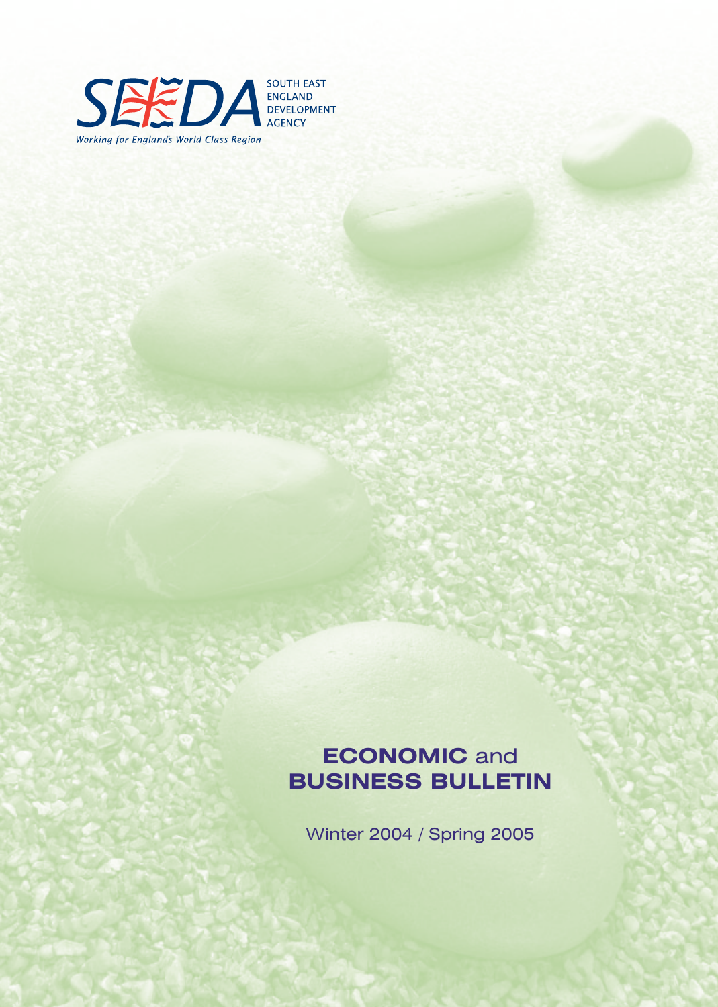

**ECONOMIC** and **BUSINESS BULLETIN**

Winter 2004 / Spring 2005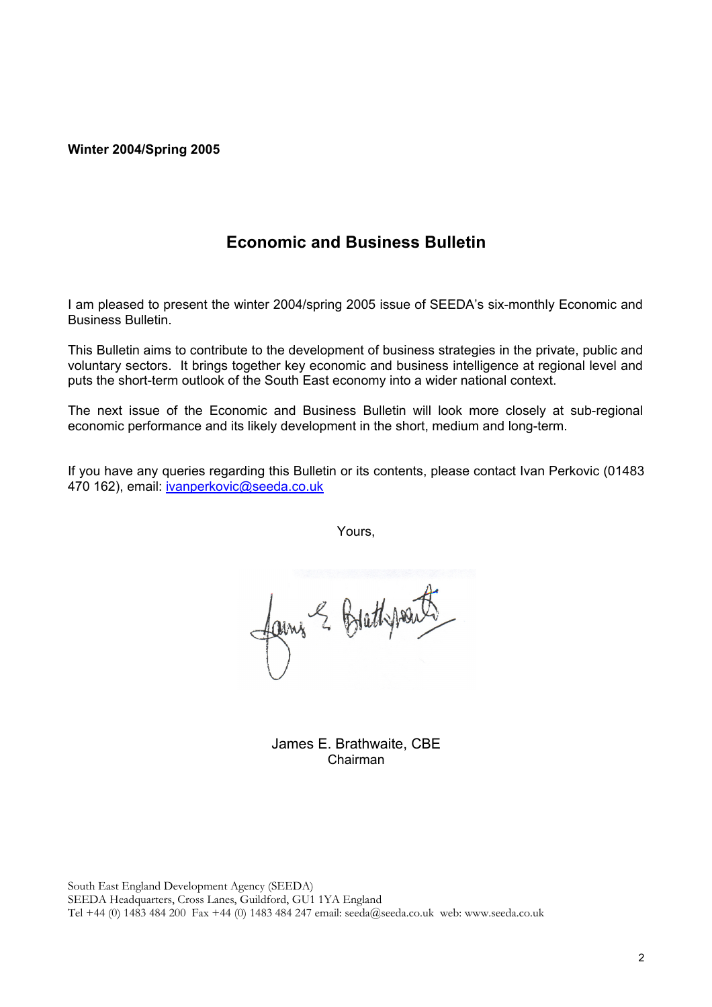#### **Winter 2004/Spring 2005**

# **Economic and Business Bulletin**

I am pleased to present the winter 2004/spring 2005 issue of SEEDA's six-monthly Economic and Business Bulletin.

This Bulletin aims to contribute to the development of business strategies in the private, public and voluntary sectors. It brings together key economic and business intelligence at regional level and puts the short-term outlook of the South East economy into a wider national context.

The next issue of the Economic and Business Bulletin will look more closely at sub-regional economic performance and its likely development in the short, medium and long-term.

If you have any queries regarding this Bulletin or its contents, please contact Ivan Perkovic (01483 470 162), email: ivanperkovic@seeda.co.uk

Yours,

fame & Brethpout

James E. Brathwaite, CBE Chairman

South East England Development Agency (SEEDA) SEEDA Headquarters, Cross Lanes, Guildford, GU1 1YA England Tel +44 (0) 1483 484 200 Fax +44 (0) 1483 484 247 email: seeda@seeda.co.uk web: www.seeda.co.uk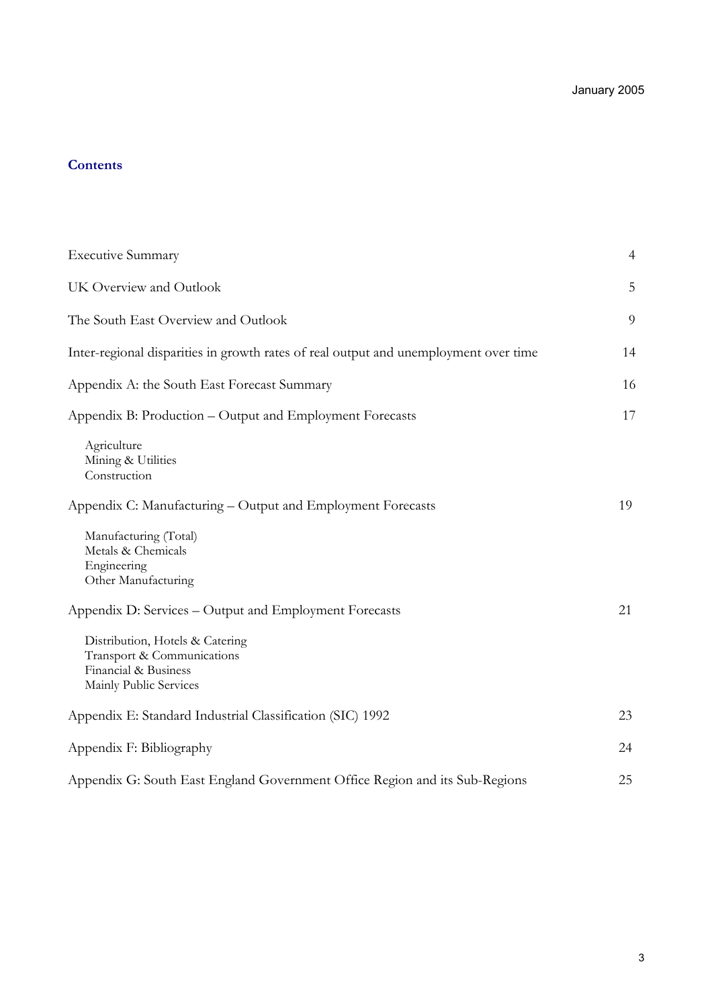# **Contents**

| <b>Executive Summary</b>                                                                                        | 4  |
|-----------------------------------------------------------------------------------------------------------------|----|
| UK Overview and Outlook                                                                                         | 5  |
| The South East Overview and Outlook                                                                             | 9  |
| Inter-regional disparities in growth rates of real output and unemployment over time                            | 14 |
| Appendix A: the South East Forecast Summary                                                                     | 16 |
| Appendix B: Production - Output and Employment Forecasts                                                        | 17 |
| Agriculture<br>Mining & Utilities<br>Construction                                                               |    |
| Appendix C: Manufacturing – Output and Employment Forecasts                                                     | 19 |
| Manufacturing (Total)<br>Metals & Chemicals<br>Engineering<br>Other Manufacturing                               |    |
| Appendix D: Services - Output and Employment Forecasts                                                          | 21 |
| Distribution, Hotels & Catering<br>Transport & Communications<br>Financial & Business<br>Mainly Public Services |    |
| Appendix E: Standard Industrial Classification (SIC) 1992                                                       | 23 |
| Appendix F: Bibliography                                                                                        | 24 |
| Appendix G: South East England Government Office Region and its Sub-Regions                                     | 25 |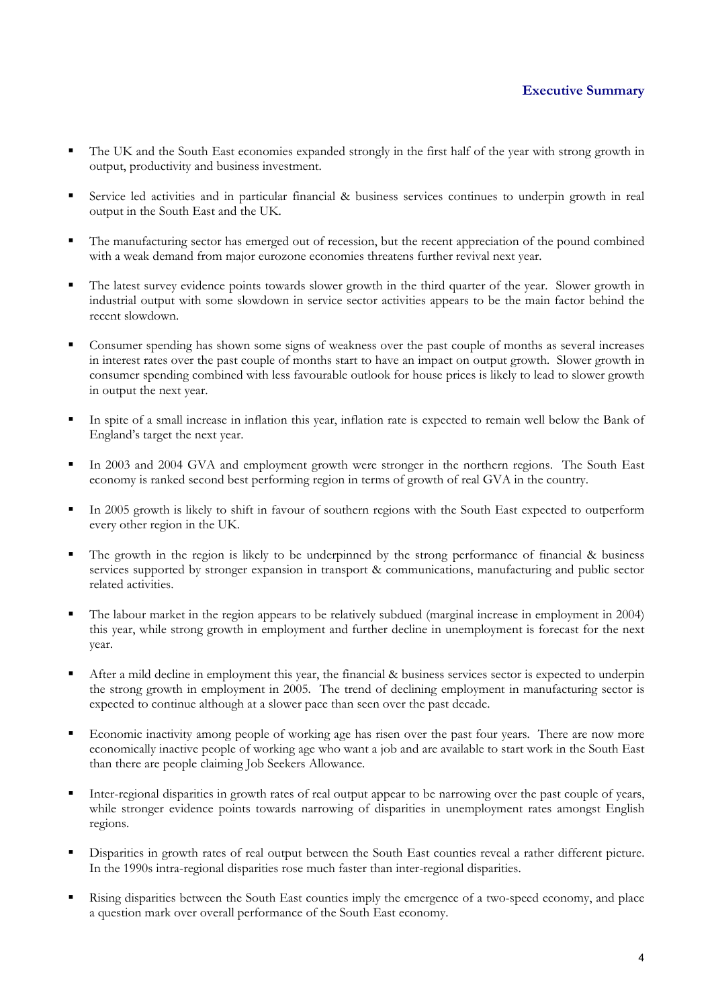- The UK and the South East economies expanded strongly in the first half of the year with strong growth in output, productivity and business investment.
- Service led activities and in particular financial & business services continues to underpin growth in real output in the South East and the UK.
- The manufacturing sector has emerged out of recession, but the recent appreciation of the pound combined with a weak demand from major eurozone economies threatens further revival next year.
- The latest survey evidence points towards slower growth in the third quarter of the year. Slower growth in industrial output with some slowdown in service sector activities appears to be the main factor behind the recent slowdown.
- Consumer spending has shown some signs of weakness over the past couple of months as several increases in interest rates over the past couple of months start to have an impact on output growth. Slower growth in consumer spending combined with less favourable outlook for house prices is likely to lead to slower growth in output the next year.
- In spite of a small increase in inflation this year, inflation rate is expected to remain well below the Bank of England's target the next year.
- In 2003 and 2004 GVA and employment growth were stronger in the northern regions. The South East economy is ranked second best performing region in terms of growth of real GVA in the country.
- In 2005 growth is likely to shift in favour of southern regions with the South East expected to outperform every other region in the UK.
- The growth in the region is likely to be underpinned by the strong performance of financial & business services supported by stronger expansion in transport & communications, manufacturing and public sector related activities.
- The labour market in the region appears to be relatively subdued (marginal increase in employment in 2004) this year, while strong growth in employment and further decline in unemployment is forecast for the next year.
- After a mild decline in employment this year, the financial & business services sector is expected to underpin the strong growth in employment in 2005. The trend of declining employment in manufacturing sector is expected to continue although at a slower pace than seen over the past decade.
- Economic inactivity among people of working age has risen over the past four years. There are now more economically inactive people of working age who want a job and are available to start work in the South East than there are people claiming Job Seekers Allowance.
- Inter-regional disparities in growth rates of real output appear to be narrowing over the past couple of years, while stronger evidence points towards narrowing of disparities in unemployment rates amongst English regions.
- Disparities in growth rates of real output between the South East counties reveal a rather different picture. In the 1990s intra-regional disparities rose much faster than inter-regional disparities.
- Rising disparities between the South East counties imply the emergence of a two-speed economy, and place a question mark over overall performance of the South East economy.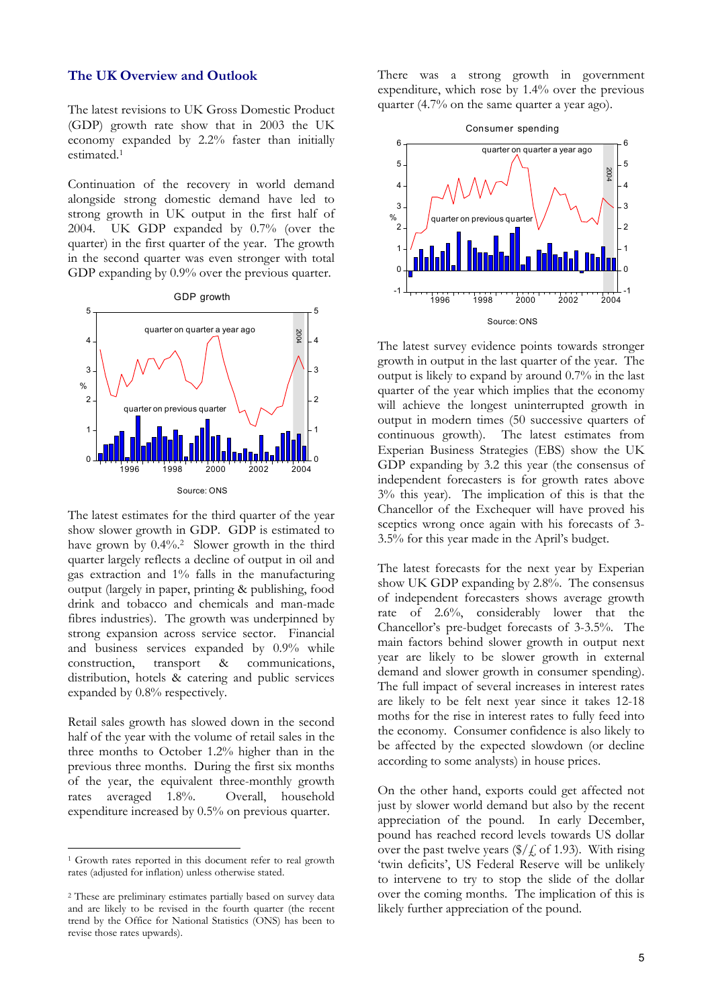#### **The UK Overview and Outlook**

The latest revisions to UK Gross Domestic Product (GDP) growth rate show that in 2003 the UK economy expanded by 2.2% faster than initially estimated.1

Continuation of the recovery in world demand alongside strong domestic demand have led to strong growth in UK output in the first half of 2004. UK GDP expanded by 0.7% (over the quarter) in the first quarter of the year. The growth in the second quarter was even stronger with total GDP expanding by  $0.9\%$  over the previous quarter.



The latest estimates for the third quarter of the year show slower growth in GDP. GDP is estimated to have grown by 0.4%.2 Slower growth in the third quarter largely reflects a decline of output in oil and gas extraction and 1% falls in the manufacturing output (largely in paper, printing & publishing, food drink and tobacco and chemicals and man-made fibres industries). The growth was underpinned by strong expansion across service sector. Financial and business services expanded by 0.9% while construction, transport & communications, distribution, hotels & catering and public services expanded by 0.8% respectively.

Retail sales growth has slowed down in the second half of the year with the volume of retail sales in the three months to October 1.2% higher than in the previous three months. During the first six months of the year, the equivalent three-monthly growth rates averaged 1.8%. Overall, household expenditure increased by 0.5% on previous quarter.

 $\overline{a}$ 

There was a strong growth in government expenditure, which rose by 1.4% over the previous quarter (4.7% on the same quarter a year ago).



The latest survey evidence points towards stronger growth in output in the last quarter of the year. The output is likely to expand by around 0.7% in the last quarter of the year which implies that the economy will achieve the longest uninterrupted growth in output in modern times (50 successive quarters of continuous growth). The latest estimates from Experian Business Strategies (EBS) show the UK GDP expanding by 3.2 this year (the consensus of independent forecasters is for growth rates above 3% this year). The implication of this is that the Chancellor of the Exchequer will have proved his sceptics wrong once again with his forecasts of 3- 3.5% for this year made in the April's budget.

The latest forecasts for the next year by Experian show UK GDP expanding by 2.8%. The consensus of independent forecasters shows average growth rate of 2.6%, considerably lower that the Chancellor's pre-budget forecasts of 3-3.5%. The main factors behind slower growth in output next year are likely to be slower growth in external demand and slower growth in consumer spending). The full impact of several increases in interest rates are likely to be felt next year since it takes 12-18 moths for the rise in interest rates to fully feed into the economy. Consumer confidence is also likely to be affected by the expected slowdown (or decline according to some analysts) in house prices.

On the other hand, exports could get affected not just by slower world demand but also by the recent appreciation of the pound. In early December, pound has reached record levels towards US dollar over the past twelve years  $(\frac{1}{2}, 6f \cdot 1.93)$ . With rising 'twin deficits', US Federal Reserve will be unlikely to intervene to try to stop the slide of the dollar over the coming months. The implication of this is likely further appreciation of the pound.

<sup>1</sup> Growth rates reported in this document refer to real growth rates (adjusted for inflation) unless otherwise stated.

<sup>2</sup> These are preliminary estimates partially based on survey data and are likely to be revised in the fourth quarter (the recent trend by the Office for National Statistics (ONS) has been to revise those rates upwards).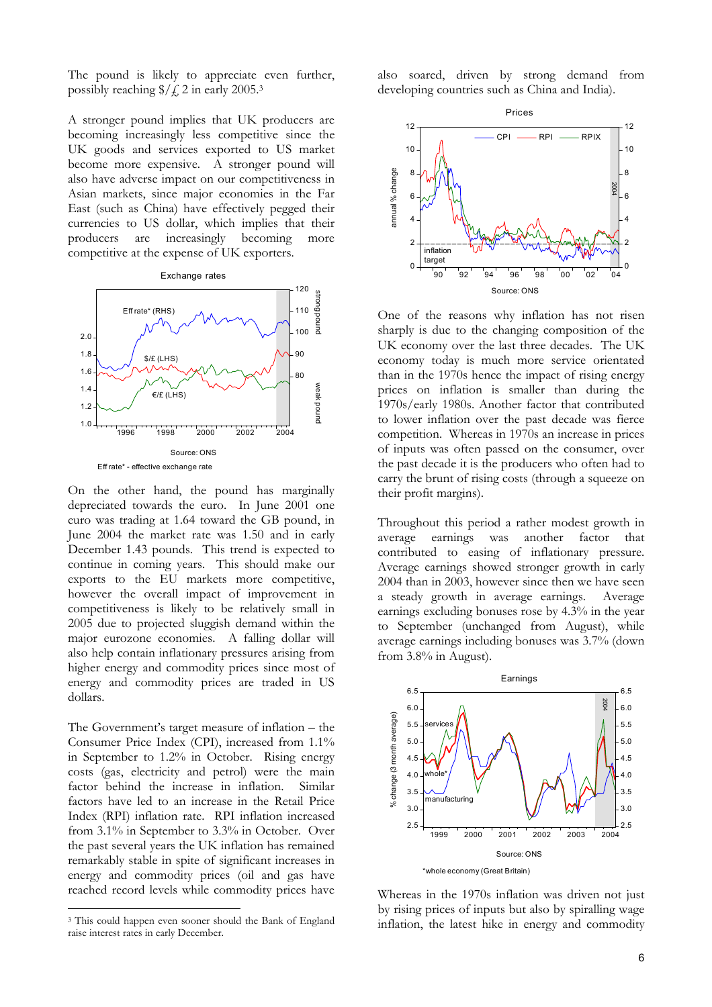The pound is likely to appreciate even further, possibly reaching  $\frac{1}{2}$  /  $\frac{2}{1}$  in early 2005.<sup>3</sup>

A stronger pound implies that UK producers are becoming increasingly less competitive since the UK goods and services exported to US market become more expensive. A stronger pound will also have adverse impact on our competitiveness in Asian markets, since major economies in the Far East (such as China) have effectively pegged their currencies to US dollar, which implies that their producers are increasingly becoming more competitive at the expense of UK exporters.



On the other hand, the pound has marginally depreciated towards the euro. In June 2001 one euro was trading at 1.64 toward the GB pound, in June 2004 the market rate was 1.50 and in early December 1.43 pounds. This trend is expected to continue in coming years. This should make our exports to the EU markets more competitive, however the overall impact of improvement in competitiveness is likely to be relatively small in 2005 due to projected sluggish demand within the major eurozone economies. A falling dollar will also help contain inflationary pressures arising from higher energy and commodity prices since most of energy and commodity prices are traded in US dollars.

The Government's target measure of inflation – the Consumer Price Index (CPI), increased from 1.1% in September to 1.2% in October. Rising energy costs (gas, electricity and petrol) were the main factor behind the increase in inflation. Similar factors have led to an increase in the Retail Price Index (RPI) inflation rate. RPI inflation increased from 3.1% in September to 3.3% in October. Over the past several years the UK inflation has remained remarkably stable in spite of significant increases in energy and commodity prices (oil and gas have reached record levels while commodity prices have

 $\overline{a}$ 

also soared, driven by strong demand from developing countries such as China and India).



One of the reasons why inflation has not risen sharply is due to the changing composition of the UK economy over the last three decades. The UK economy today is much more service orientated than in the 1970s hence the impact of rising energy prices on inflation is smaller than during the 1970s/early 1980s. Another factor that contributed to lower inflation over the past decade was fierce competition. Whereas in 1970s an increase in prices of inputs was often passed on the consumer, over the past decade it is the producers who often had to carry the brunt of rising costs (through a squeeze on their profit margins).

Throughout this period a rather modest growth in average earnings was another factor that contributed to easing of inflationary pressure. Average earnings showed stronger growth in early 2004 than in 2003, however since then we have seen a steady growth in average earnings. Average earnings excluding bonuses rose by 4.3% in the year to September (unchanged from August), while average earnings including bonuses was 3.7% (down from 3.8% in August).



Whereas in the 1970s inflation was driven not just by rising prices of inputs but also by spiralling wage inflation, the latest hike in energy and commodity

<sup>3</sup> This could happen even sooner should the Bank of England raise interest rates in early December.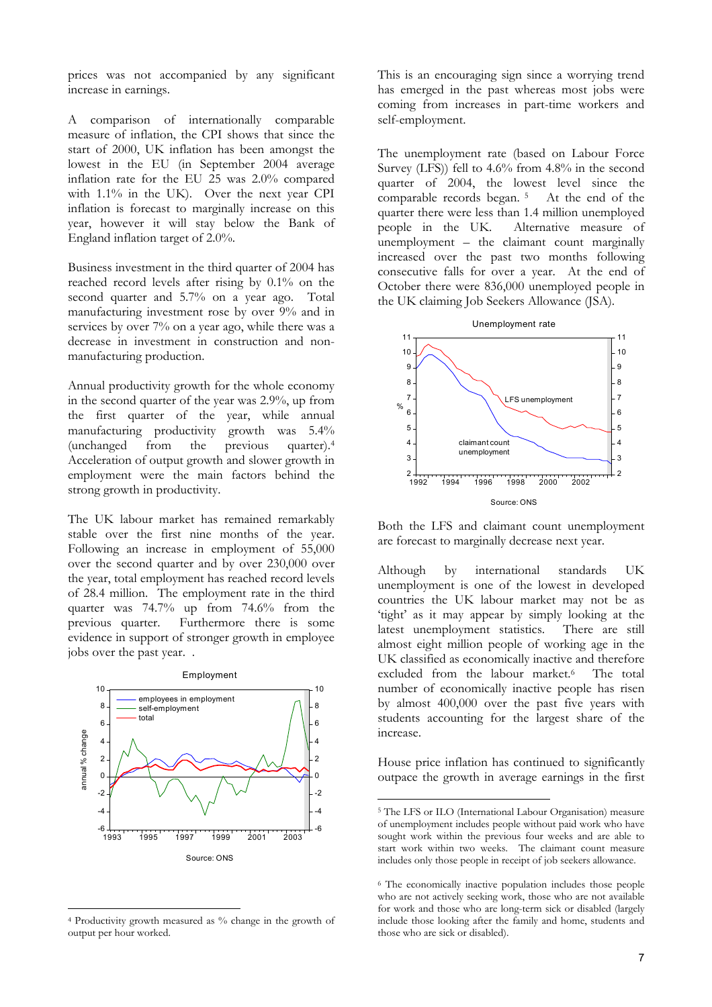prices was not accompanied by any significant increase in earnings.

A comparison of internationally comparable measure of inflation, the CPI shows that since the start of 2000, UK inflation has been amongst the lowest in the EU (in September 2004 average inflation rate for the EU 25 was 2.0% compared with 1.1% in the UK). Over the next year CPI inflation is forecast to marginally increase on this year, however it will stay below the Bank of England inflation target of 2.0%.

Business investment in the third quarter of 2004 has reached record levels after rising by 0.1% on the second quarter and 5.7% on a year ago. Total manufacturing investment rose by over 9% and in services by over 7% on a year ago, while there was a decrease in investment in construction and nonmanufacturing production.

Annual productivity growth for the whole economy in the second quarter of the year was 2.9%, up from the first quarter of the year, while annual manufacturing productivity growth was 5.4% (unchanged from the previous quarter).4 Acceleration of output growth and slower growth in employment were the main factors behind the strong growth in productivity.

The UK labour market has remained remarkably stable over the first nine months of the year. Following an increase in employment of 55,000 over the second quarter and by over 230,000 over the year, total employment has reached record levels of 28.4 million. The employment rate in the third quarter was 74.7% up from 74.6% from the previous quarter. Furthermore there is some evidence in support of stronger growth in employee jobs over the past year. .



4 Productivity growth measured as % change in the growth of output per hour worked.

 $\overline{a}$ 

This is an encouraging sign since a worrying trend has emerged in the past whereas most jobs were coming from increases in part-time workers and self-employment.

The unemployment rate (based on Labour Force Survey (LFS)) fell to 4.6% from 4.8% in the second quarter of 2004, the lowest level since the comparable records began. 5 At the end of the quarter there were less than 1.4 million unemployed people in the UK. Alternative measure of unemployment – the claimant count marginally increased over the past two months following consecutive falls for over a year. At the end of October there were 836,000 unemployed people in the UK claiming Job Seekers Allowance (JSA).



Both the LFS and claimant count unemployment are forecast to marginally decrease next year.

Although by international standards UK unemployment is one of the lowest in developed countries the UK labour market may not be as 'tight' as it may appear by simply looking at the latest unemployment statistics. There are still almost eight million people of working age in the UK classified as economically inactive and therefore excluded from the labour market.<sup>6</sup> The total number of economically inactive people has risen by almost 400,000 over the past five years with students accounting for the largest share of the increase.

House price inflation has continued to significantly outpace the growth in average earnings in the first

<sup>5</sup> The LFS or ILO (International Labour Organisation) measure of unemployment includes people without paid work who have sought work within the previous four weeks and are able to start work within two weeks. The claimant count measure includes only those people in receipt of job seekers allowance.

<sup>6</sup> The economically inactive population includes those people who are not actively seeking work, those who are not available for work and those who are long-term sick or disabled (largely include those looking after the family and home, students and those who are sick or disabled).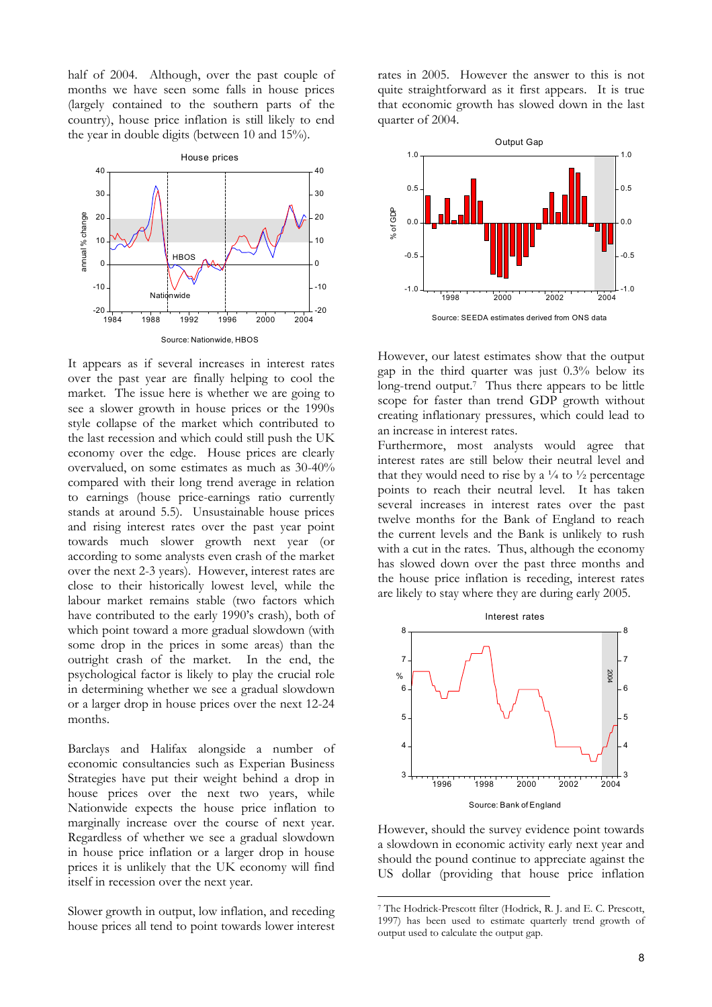half of 2004. Although, over the past couple of months we have seen some falls in house prices (largely contained to the southern parts of the country), house price inflation is still likely to end the year in double digits (between 10 and 15%).



It appears as if several increases in interest rates over the past year are finally helping to cool the market. The issue here is whether we are going to see a slower growth in house prices or the 1990s style collapse of the market which contributed to the last recession and which could still push the UK economy over the edge. House prices are clearly overvalued, on some estimates as much as 30-40% compared with their long trend average in relation to earnings (house price-earnings ratio currently stands at around 5.5). Unsustainable house prices and rising interest rates over the past year point towards much slower growth next year (or according to some analysts even crash of the market over the next 2-3 years). However, interest rates are close to their historically lowest level, while the labour market remains stable (two factors which have contributed to the early 1990's crash), both of which point toward a more gradual slowdown (with some drop in the prices in some areas) than the outright crash of the market. In the end, the psychological factor is likely to play the crucial role in determining whether we see a gradual slowdown or a larger drop in house prices over the next 12-24 months.

Barclays and Halifax alongside a number of economic consultancies such as Experian Business Strategies have put their weight behind a drop in house prices over the next two years, while Nationwide expects the house price inflation to marginally increase over the course of next year. Regardless of whether we see a gradual slowdown in house price inflation or a larger drop in house prices it is unlikely that the UK economy will find itself in recession over the next year.

Slower growth in output, low inflation, and receding house prices all tend to point towards lower interest rates in 2005. However the answer to this is not quite straightforward as it first appears. It is true that economic growth has slowed down in the last quarter of 2004.



However, our latest estimates show that the output gap in the third quarter was just 0.3% below its long-trend output.<sup>7</sup> Thus there appears to be little scope for faster than trend GDP growth without creating inflationary pressures, which could lead to an increase in interest rates.

Furthermore, most analysts would agree that interest rates are still below their neutral level and that they would need to rise by a  $\frac{1}{4}$  to  $\frac{1}{2}$  percentage points to reach their neutral level. It has taken several increases in interest rates over the past twelve months for the Bank of England to reach the current levels and the Bank is unlikely to rush with a cut in the rates. Thus, although the economy has slowed down over the past three months and the house price inflation is receding, interest rates are likely to stay where they are during early 2005.



However, should the survey evidence point towards a slowdown in economic activity early next year and should the pound continue to appreciate against the US dollar (providing that house price inflation

<sup>7</sup> The Hodrick-Prescott filter (Hodrick, R. J. and E. C. Prescott, 1997) has been used to estimate quarterly trend growth of output used to calculate the output gap.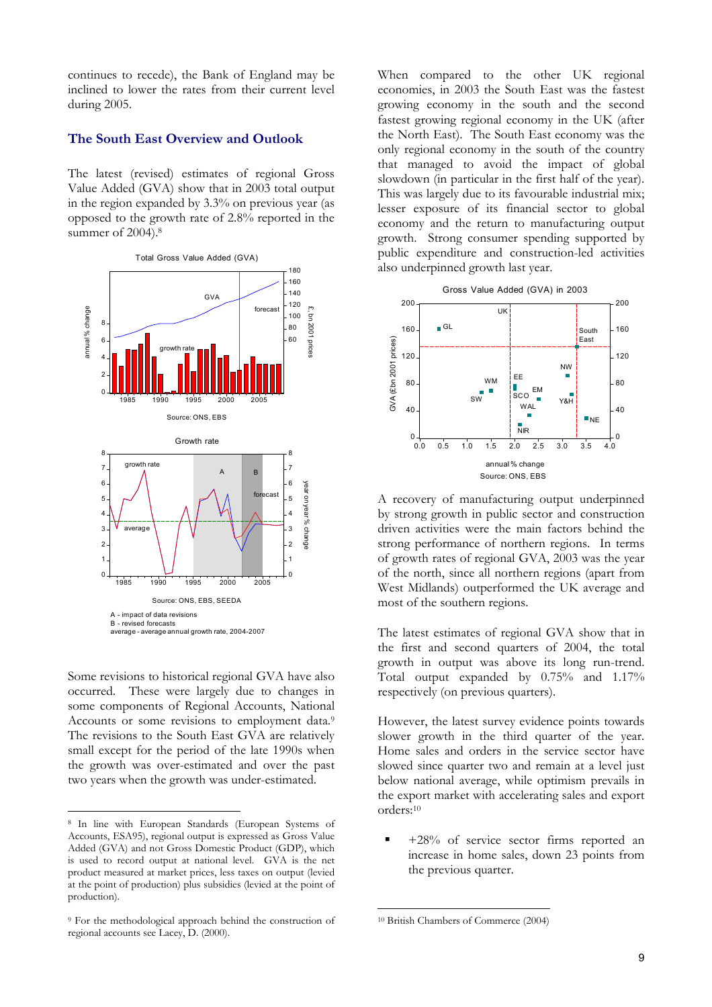continues to recede), the Bank of England may be inclined to lower the rates from their current level during 2005.

#### **The South East Overview and Outlook**

The latest (revised) estimates of regional Gross Value Added (GVA) show that in 2003 total output in the region expanded by 3.3% on previous year (as opposed to the growth rate of 2.8% reported in the summer of 2004).<sup>8</sup>



Some revisions to historical regional GVA have also occurred. These were largely due to changes in some components of Regional Accounts, National Accounts or some revisions to employment data.<sup>9</sup> The revisions to the South East GVA are relatively small except for the period of the late 1990s when the growth was over-estimated and over the past two years when the growth was under-estimated.

 $\overline{a}$ 

When compared to the other UK regional economies, in 2003 the South East was the fastest growing economy in the south and the second fastest growing regional economy in the UK (after the North East). The South East economy was the only regional economy in the south of the country that managed to avoid the impact of global slowdown (in particular in the first half of the year). This was largely due to its favourable industrial mix; lesser exposure of its financial sector to global economy and the return to manufacturing output growth. Strong consumer spending supported by public expenditure and construction-led activities also underpinned growth last year.



A recovery of manufacturing output underpinned by strong growth in public sector and construction driven activities were the main factors behind the strong performance of northern regions. In terms of growth rates of regional GVA, 2003 was the year of the north, since all northern regions (apart from West Midlands) outperformed the UK average and most of the southern regions.

The latest estimates of regional GVA show that in the first and second quarters of 2004, the total growth in output was above its long run-trend. Total output expanded by 0.75% and 1.17% respectively (on previous quarters).

However, the latest survey evidence points towards slower growth in the third quarter of the year. Home sales and orders in the service sector have slowed since quarter two and remain at a level just below national average, while optimism prevails in the export market with accelerating sales and export orders:10

 +28% of service sector firms reported an increase in home sales, down 23 points from the previous quarter.

<sup>8</sup> In line with European Standards (European Systems of Accounts, ESA95), regional output is expressed as Gross Value Added (GVA) and not Gross Domestic Product (GDP), which is used to record output at national level. GVA is the net product measured at market prices, less taxes on output (levied at the point of production) plus subsidies (levied at the point of production).

<sup>9</sup> For the methodological approach behind the construction of regional accounts see Lacey, D. (2000).

<sup>10</sup> British Chambers of Commerce (2004)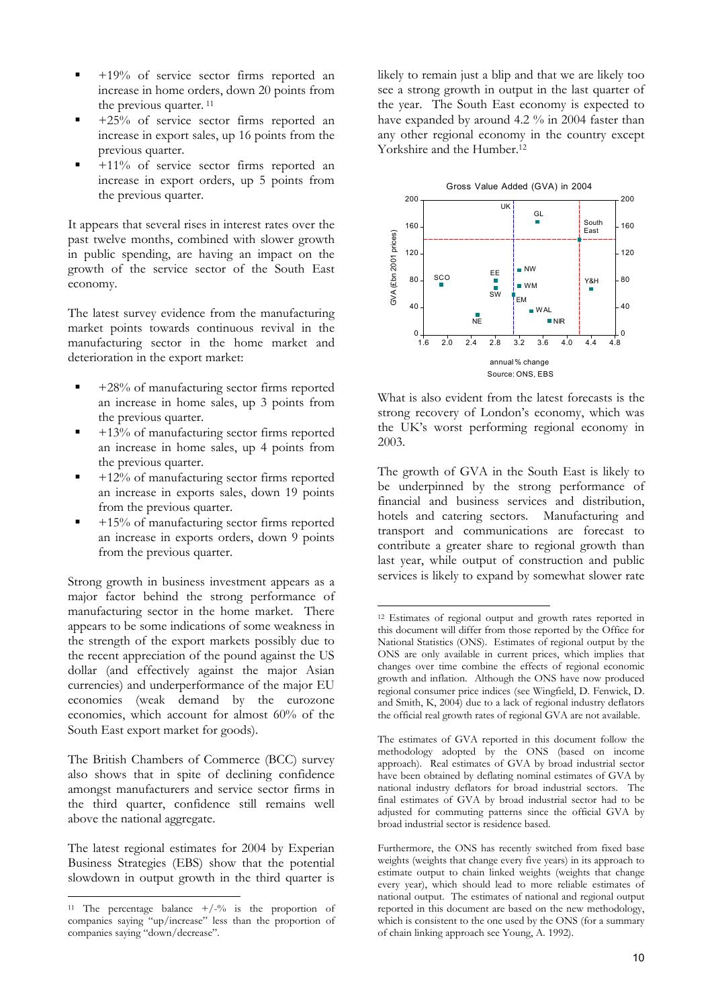- +19% of service sector firms reported an increase in home orders, down 20 points from the previous quarter.<sup>11</sup>
- +25% of service sector firms reported an increase in export sales, up 16 points from the previous quarter.
- +11% of service sector firms reported an increase in export orders, up 5 points from the previous quarter.

It appears that several rises in interest rates over the past twelve months, combined with slower growth in public spending, are having an impact on the growth of the service sector of the South East economy.

The latest survey evidence from the manufacturing market points towards continuous revival in the manufacturing sector in the home market and deterioration in the export market:

- $+28%$  of manufacturing sector firms reported an increase in home sales, up 3 points from the previous quarter.
- +13% of manufacturing sector firms reported an increase in home sales, up 4 points from the previous quarter.
- +12% of manufacturing sector firms reported an increase in exports sales, down 19 points from the previous quarter.
- +15% of manufacturing sector firms reported an increase in exports orders, down 9 points from the previous quarter.

Strong growth in business investment appears as a major factor behind the strong performance of manufacturing sector in the home market. There appears to be some indications of some weakness in the strength of the export markets possibly due to the recent appreciation of the pound against the US dollar (and effectively against the major Asian currencies) and underperformance of the major EU economies (weak demand by the eurozone economies, which account for almost 60% of the South East export market for goods).

The British Chambers of Commerce (BCC) survey also shows that in spite of declining confidence amongst manufacturers and service sector firms in the third quarter, confidence still remains well above the national aggregate.

The latest regional estimates for 2004 by Experian Business Strategies (EBS) show that the potential slowdown in output growth in the third quarter is

 $\overline{a}$ 

likely to remain just a blip and that we are likely too see a strong growth in output in the last quarter of the year. The South East economy is expected to have expanded by around 4.2 % in 2004 faster than any other regional economy in the country except Yorkshire and the Humber.12



What is also evident from the latest forecasts is the strong recovery of London's economy, which was the UK's worst performing regional economy in 2003.

The growth of GVA in the South East is likely to be underpinned by the strong performance of financial and business services and distribution, hotels and catering sectors. Manufacturing and transport and communications are forecast to contribute a greater share to regional growth than last year, while output of construction and public services is likely to expand by somewhat slower rate

<sup>&</sup>lt;sup>11</sup> The percentage balance  $+/-\%$  is the proportion of companies saying "up/increase" less than the proportion of companies saying "down/decrease".

 $\overline{a}$ 12 Estimates of regional output and growth rates reported in this document will differ from those reported by the Office for National Statistics (ONS). Estimates of regional output by the ONS are only available in current prices, which implies that changes over time combine the effects of regional economic growth and inflation. Although the ONS have now produced regional consumer price indices (see Wingfield, D. Fenwick, D. and Smith, K, 2004) due to a lack of regional industry deflators the official real growth rates of regional GVA are not available.

The estimates of GVA reported in this document follow the methodology adopted by the ONS (based on income approach). Real estimates of GVA by broad industrial sector have been obtained by deflating nominal estimates of GVA by national industry deflators for broad industrial sectors. The final estimates of GVA by broad industrial sector had to be adjusted for commuting patterns since the official GVA by broad industrial sector is residence based.

Furthermore, the ONS has recently switched from fixed base weights (weights that change every five years) in its approach to estimate output to chain linked weights (weights that change every year), which should lead to more reliable estimates of national output. The estimates of national and regional output reported in this document are based on the new methodology, which is consistent to the one used by the ONS (for a summary of chain linking approach see Young, A. 1992).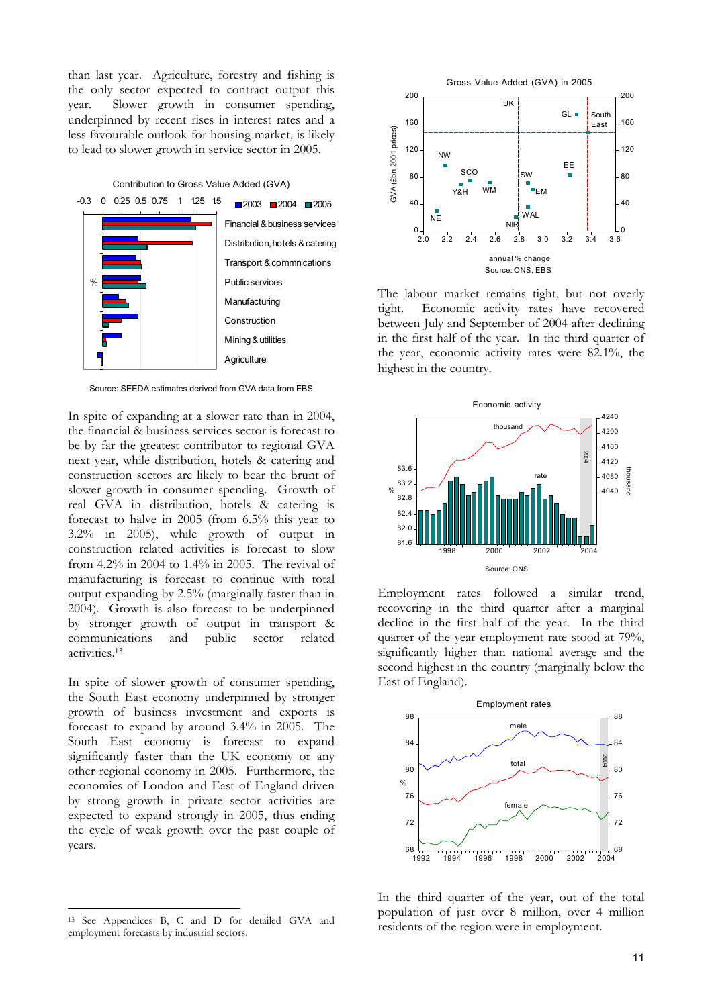than last year. Agriculture, forestry and fishing is the only sector expected to contract output this year. Slower growth in consumer spending, underpinned by recent rises in interest rates and a less favourable outlook for housing market, is likely to lead to slower growth in service sector in 2005.



Source: SEEDA estimates derived from GVA data from EBS

In spite of expanding at a slower rate than in 2004, the financial & business services sector is forecast to be by far the greatest contributor to regional GVA next year, while distribution, hotels & catering and construction sectors are likely to bear the brunt of slower growth in consumer spending. Growth of real GVA in distribution, hotels & catering is forecast to halve in 2005 (from 6.5% this year to 3.2% in 2005), while growth of output in construction related activities is forecast to slow from 4.2% in 2004 to 1.4% in 2005. The revival of manufacturing is forecast to continue with total output expanding by 2.5% (marginally faster than in 2004). Growth is also forecast to be underpinned by stronger growth of output in transport & communications and public sector related activities.13

In spite of slower growth of consumer spending, the South East economy underpinned by stronger growth of business investment and exports is forecast to expand by around 3.4% in 2005. The South East economy is forecast to expand significantly faster than the UK economy or any other regional economy in 2005. Furthermore, the economies of London and East of England driven by strong growth in private sector activities are expected to expand strongly in 2005, thus ending the cycle of weak growth over the past couple of years.

 $\overline{a}$ 



The labour market remains tight, but not overly tight. Economic activity rates have recovered between July and September of 2004 after declining in the first half of the year. In the third quarter of the year, economic activity rates were 82.1%, the highest in the country.



Employment rates followed a similar trend, recovering in the third quarter after a marginal decline in the first half of the year. In the third quarter of the year employment rate stood at 79%, significantly higher than national average and the second highest in the country (marginally below the East of England).



In the third quarter of the year, out of the total population of just over 8 million, over 4 million residents of the region were in employment.

<sup>13</sup> See Appendices B, C and D for detailed GVA and employment forecasts by industrial sectors.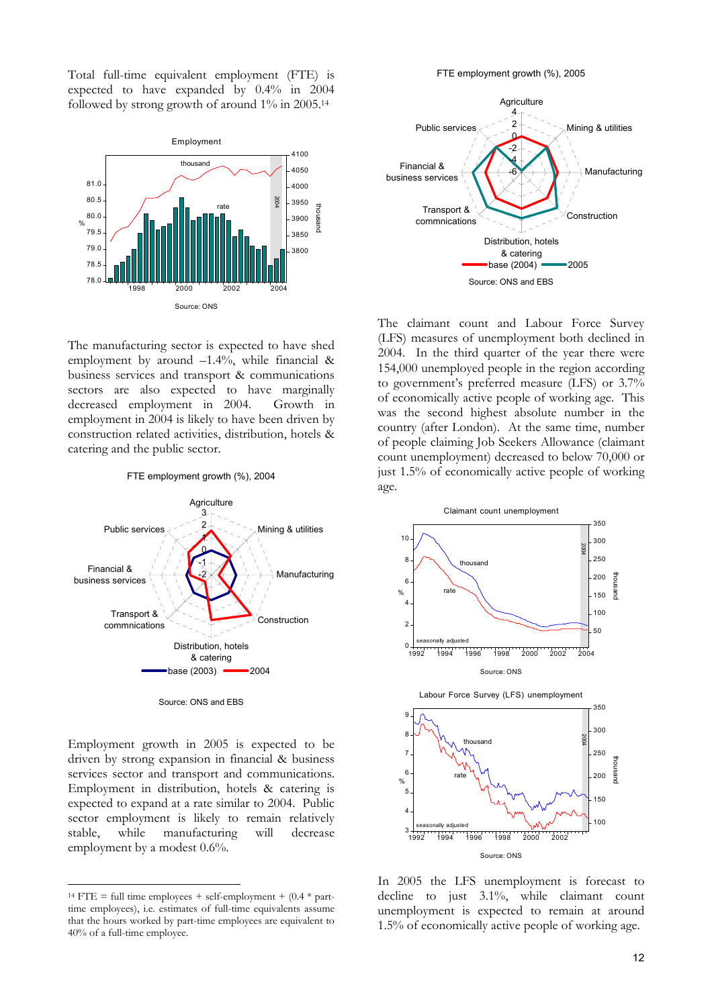Total full-time equivalent employment (FTE) is expected to have expanded by 0.4% in 2004 followed by strong growth of around 1% in 2005.14



The manufacturing sector is expected to have shed employment by around  $-1.4\%$ , while financial & business services and transport & communications sectors are also expected to have marginally decreased employment in 2004. Growth in employment in 2004 is likely to have been driven by construction related activities, distribution, hotels & catering and the public sector.

FTE employment growth (%), 2004



Source: ONS and EBS

Employment growth in 2005 is expected to be driven by strong expansion in financial & business services sector and transport and communications. Employment in distribution, hotels & catering is expected to expand at a rate similar to 2004. Public sector employment is likely to remain relatively stable, while manufacturing will decrease employment by a modest 0.6%.

 $\overline{a}$ 

FTE employment growth (%), 2005



The claimant count and Labour Force Survey (LFS) measures of unemployment both declined in 2004. In the third quarter of the year there were 154,000 unemployed people in the region according to government's preferred measure (LFS) or 3.7% of economically active people of working age. This was the second highest absolute number in the country (after London). At the same time, number of people claiming Job Seekers Allowance (claimant count unemployment) decreased to below 70,000 or just 1.5% of economically active people of working age.



In 2005 the LFS unemployment is forecast to decline to just 3.1%, while claimant count unemployment is expected to remain at around 1.5% of economically active people of working age.

<sup>&</sup>lt;sup>14</sup> FTE = full time employees + self-employment +  $(0.4 * part - 1)$ time employees), i.e. estimates of full-time equivalents assume that the hours worked by part-time employees are equivalent to 40% of a full-time employee.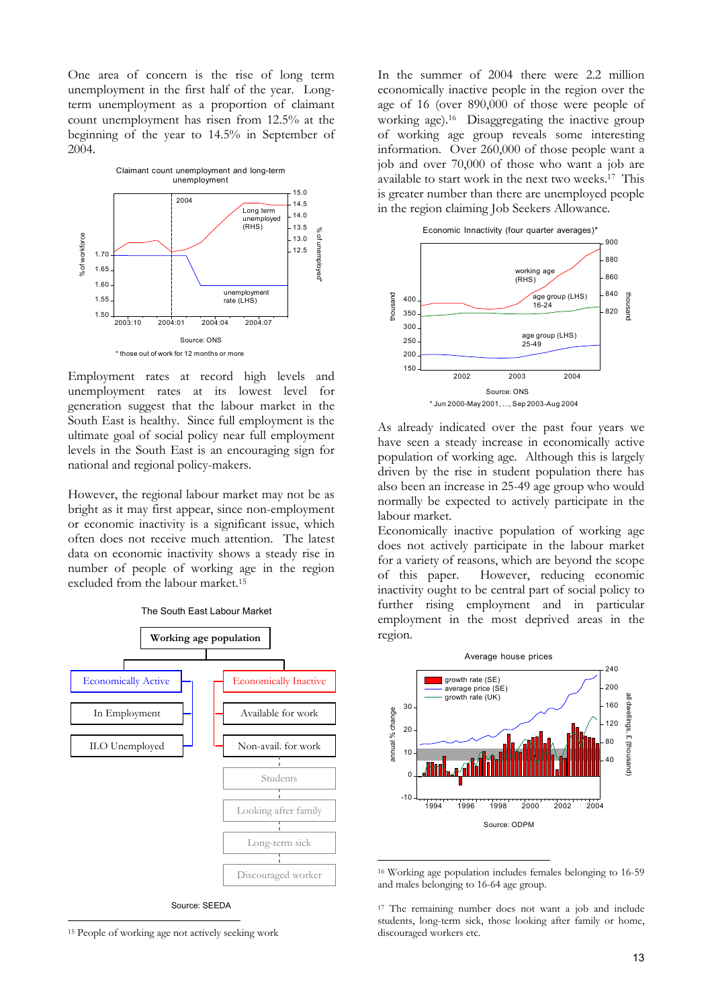One area of concern is the rise of long term unemployment in the first half of the year. Longterm unemployment as a proportion of claimant count unemployment has risen from 12.5% at the beginning of the year to 14.5% in September of 2004.



Employment rates at record high levels and unemployment rates at its lowest level for generation suggest that the labour market in the South East is healthy. Since full employment is the ultimate goal of social policy near full employment levels in the South East is an encouraging sign for national and regional policy-makers.

However, the regional labour market may not be as bright as it may first appear, since non-employment or economic inactivity is a significant issue, which often does not receive much attention. The latest data on economic inactivity shows a steady rise in number of people of working age in the region excluded from the labour market.15



Source: SEEDA

 $\overline{a}$ 

In the summer of 2004 there were 2.2 million economically inactive people in the region over the age of 16 (over 890,000 of those were people of working age).16 Disaggregating the inactive group of working age group reveals some interesting information. Over 260,000 of those people want a job and over 70,000 of those who want a job are available to start work in the next two weeks.17 This is greater number than there are unemployed people in the region claiming Job Seekers Allowance.



As already indicated over the past four years we have seen a steady increase in economically active population of working age. Although this is largely driven by the rise in student population there has also been an increase in 25-49 age group who would normally be expected to actively participate in the labour market.

Economically inactive population of working age does not actively participate in the labour market for a variety of reasons, which are beyond the scope of this paper. However, reducing economic inactivity ought to be central part of social policy to further rising employment and in particular employment in the most deprived areas in the region.



<sup>16</sup> Working age population includes females belonging to 16-59 and males belonging to 16-64 age group.

 $\overline{a}$ 

<sup>17</sup> The remaining number does not want a job and include students, long-term sick, those looking after family or home, discouraged workers etc.

<sup>15</sup> People of working age not actively seeking work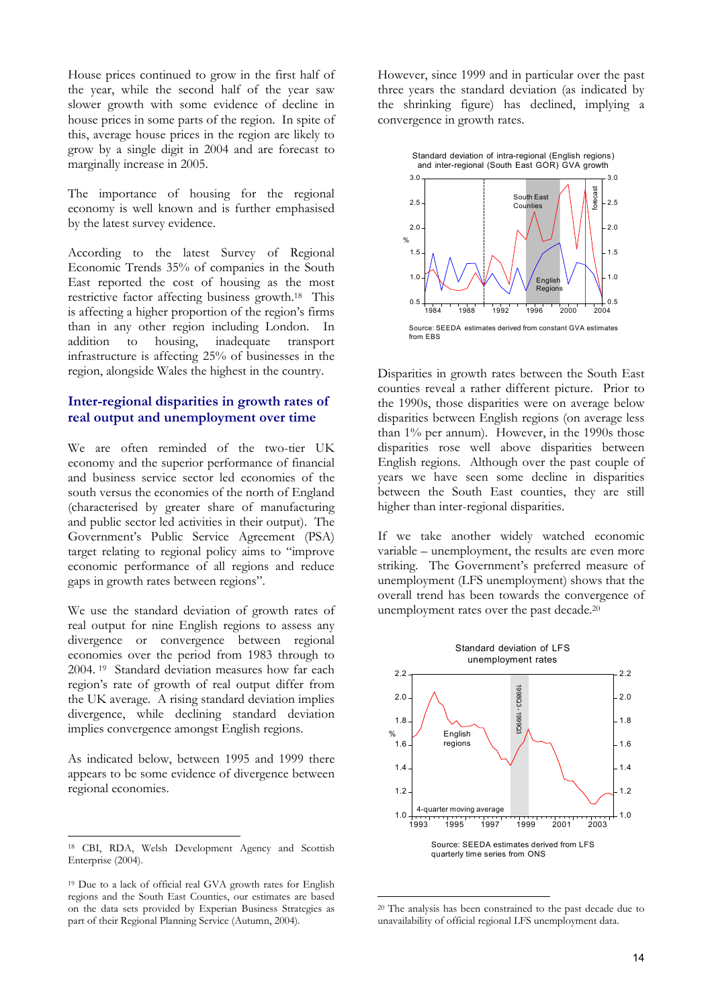House prices continued to grow in the first half of the year, while the second half of the year saw slower growth with some evidence of decline in house prices in some parts of the region. In spite of this, average house prices in the region are likely to grow by a single digit in 2004 and are forecast to marginally increase in 2005.

The importance of housing for the regional economy is well known and is further emphasised by the latest survey evidence.

According to the latest Survey of Regional Economic Trends 35% of companies in the South East reported the cost of housing as the most restrictive factor affecting business growth.18 This is affecting a higher proportion of the region's firms than in any other region including London. In addition to housing, inadequate transport infrastructure is affecting 25% of businesses in the region, alongside Wales the highest in the country.

#### **Inter-regional disparities in growth rates of real output and unemployment over time**

We are often reminded of the two-tier UK economy and the superior performance of financial and business service sector led economies of the south versus the economies of the north of England (characterised by greater share of manufacturing and public sector led activities in their output). The Government's Public Service Agreement (PSA) target relating to regional policy aims to "improve economic performance of all regions and reduce gaps in growth rates between regions".

We use the standard deviation of growth rates of real output for nine English regions to assess any divergence or convergence between regional economies over the period from 1983 through to 2004. 19 Standard deviation measures how far each region's rate of growth of real output differ from the UK average. A rising standard deviation implies divergence, while declining standard deviation implies convergence amongst English regions.

As indicated below, between 1995 and 1999 there appears to be some evidence of divergence between regional economies.

18 CBI, RDA, Welsh Development Agency and Scottish Enterprise (2004).

 $\overline{a}$ 

However, since 1999 and in particular over the past three years the standard deviation (as indicated by the shrinking figure) has declined, implying a convergence in growth rates.



Disparities in growth rates between the South East counties reveal a rather different picture. Prior to the 1990s, those disparities were on average below disparities between English regions (on average less than 1% per annum). However, in the 1990s those disparities rose well above disparities between English regions. Although over the past couple of years we have seen some decline in disparities between the South East counties, they are still higher than inter-regional disparities.

If we take another widely watched economic variable – unemployment, the results are even more striking. The Government's preferred measure of unemployment (LFS unemployment) shows that the overall trend has been towards the convergence of unemployment rates over the past decade.20



<sup>20</sup> The analysis has been constrained to the past decade due to unavailability of official regional LFS unemployment data.

<sup>19</sup> Due to a lack of official real GVA growth rates for English regions and the South East Counties, our estimates are based on the data sets provided by Experian Business Strategies as part of their Regional Planning Service (Autumn, 2004).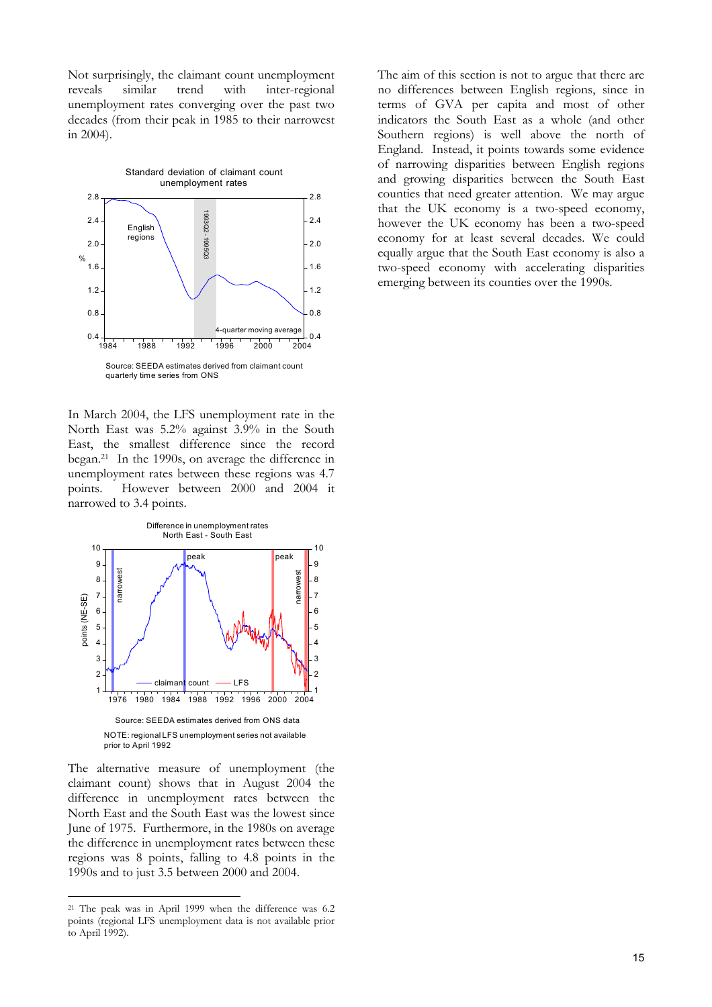Not surprisingly, the claimant count unemployment reveals similar trend with inter-regional unemployment rates converging over the past two decades (from their peak in 1985 to their narrowest in 2004).



In March 2004, the LFS unemployment rate in the North East was 5.2% against 3.9% in the South East, the smallest difference since the record began.21 In the 1990s, on average the difference in unemployment rates between these regions was 4.7 points. However between 2000 and 2004 it narrowed to 3.4 points.



The alternative measure of unemployment (the claimant count) shows that in August 2004 the difference in unemployment rates between the North East and the South East was the lowest since June of 1975. Furthermore, in the 1980s on average the difference in unemployment rates between these regions was 8 points, falling to 4.8 points in the 1990s and to just 3.5 between 2000 and 2004.

 $\overline{a}$ 

The aim of this section is not to argue that there are no differences between English regions, since in terms of GVA per capita and most of other indicators the South East as a whole (and other Southern regions) is well above the north of England. Instead, it points towards some evidence of narrowing disparities between English regions and growing disparities between the South East counties that need greater attention. We may argue that the UK economy is a two-speed economy, however the UK economy has been a two-speed economy for at least several decades. We could equally argue that the South East economy is also a two-speed economy with accelerating disparities emerging between its counties over the 1990s.

<sup>21</sup> The peak was in April 1999 when the difference was 6.2 points (regional LFS unemployment data is not available prior to April 1992).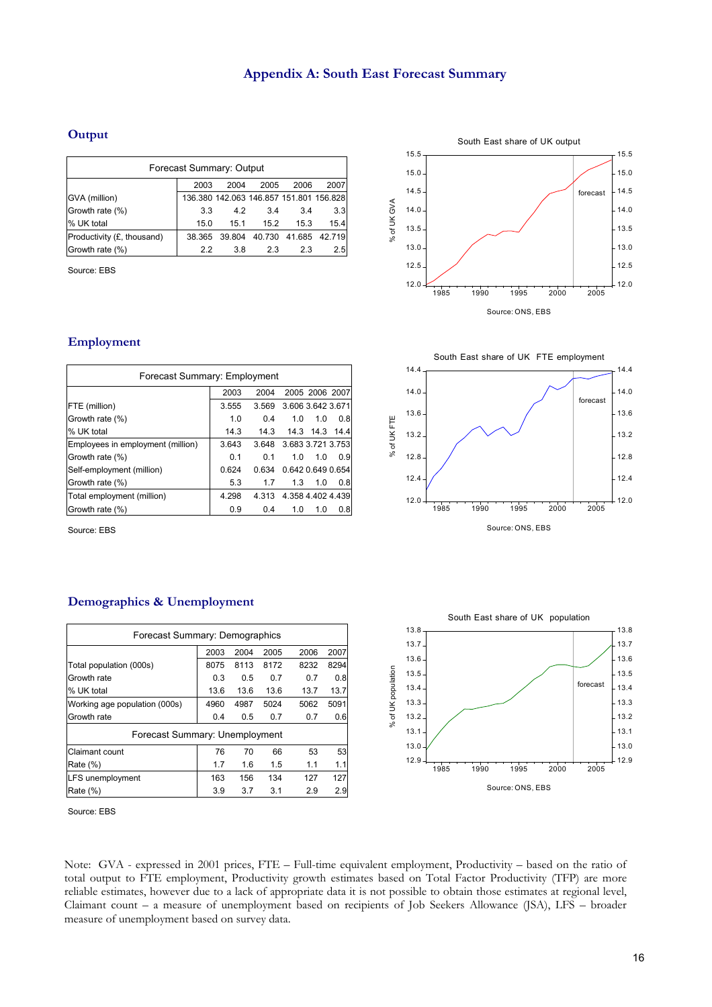#### **Output**

| Forecast Summary: Output             |        |                                         |        |      |               |  |  |  |
|--------------------------------------|--------|-----------------------------------------|--------|------|---------------|--|--|--|
| 2007<br>2003<br>2006<br>2004<br>2005 |        |                                         |        |      |               |  |  |  |
| GVA (million)                        |        | 136.380 142.063 146.857 151.801 156.828 |        |      |               |  |  |  |
| Growth rate (%)                      | 3.3    | 4.2                                     | 3.4    | 3.4  | 3.3           |  |  |  |
| % UK total                           | 15.0   | 15.1                                    | 15.2   | 15.3 | 15.4          |  |  |  |
| Productivity (£, thousand)           | 38.365 | 39.804                                  | 40.730 |      | 41.685 42.719 |  |  |  |
| Growth rate (%)                      | 2.2    | 3.8                                     | 2.3    | 2.3  | 2.5           |  |  |  |

Source: EBS

#### South East share of UK output 15.5 15.5 15.0 15.0 14.5 14.5 forecast % of UK GVA % of UK GVA 14.0 14.0 13.5 13.5 13.0 13.0 12.5 12.5  $12.0$  $12.0$ 1985 1990 1995 2000 2005 Source: ONS, EBS



| Forecast Summary: Employment      |       |       |                   |           |      |  |  |  |
|-----------------------------------|-------|-------|-------------------|-----------|------|--|--|--|
|                                   | 2003  | 2004  | 2005 2006 2007    |           |      |  |  |  |
| FTE (million)                     | 3.555 | 3.569 | 3.606 3.642 3.671 |           |      |  |  |  |
| Growth rate (%)                   | 1.0   | 0.4   | 1.0               | 1.0       | 0.8  |  |  |  |
| % UK total                        | 14.3  | 14.3  |                   | 14.3 14.3 | 14.4 |  |  |  |
| Employees in employment (million) | 3.643 | 3.648 | 3.683 3.721 3.753 |           |      |  |  |  |
| Growth rate (%)                   | 0.1   | 0.1   | 1.0               | 1.0       | 0.9  |  |  |  |
| Self-employment (million)         | 0.624 | 0.634 | 0.642 0.649 0.654 |           |      |  |  |  |
| Growth rate (%)                   | 5.3   | 1.7   | 1.3               | 1.0       | 0.8  |  |  |  |
| Total employment (million)        | 4.298 | 4 313 | 4.358 4.402 4.439 |           |      |  |  |  |
| Growth rate (%)                   | 0.9   | 0.4   | 1.0               | 1.0       | 0.8  |  |  |  |

Source: EBS



#### **Demographics & Unemployment**

| Forecast Summary: Demographics       |      |      |      |      |      |  |  |  |  |
|--------------------------------------|------|------|------|------|------|--|--|--|--|
| 2007<br>2003<br>2004<br>2005<br>2006 |      |      |      |      |      |  |  |  |  |
| Total population (000s)              | 8075 | 8113 | 8172 | 8232 | 8294 |  |  |  |  |
| Growth rate                          | 0.3  | 0.5  | 0.7  | 0.7  | 0.8  |  |  |  |  |
| % UK total                           | 13.6 | 13.6 | 13.6 | 13.7 | 13.7 |  |  |  |  |
| Working age population (000s)        | 4960 | 4987 | 5024 | 5062 | 5091 |  |  |  |  |
| Growth rate                          | 0.4  | 0.5  | 0.7  | 0.7  | 0.6  |  |  |  |  |
| Forecast Summary: Unemployment       |      |      |      |      |      |  |  |  |  |
| <b>Claimant count</b>                | 76   | 70   | 66   | 53   | 53   |  |  |  |  |
| Rate (%)                             | 1.7  | 1.6  | 1.5  | 1.1  | 1.1  |  |  |  |  |
| <b>LFS</b> unemployment              | 163  | 156  | 134  | 127  | 127  |  |  |  |  |
| Rate (%)                             | 3.9  | 3.7  | 3.1  | 2.9  | 2.9  |  |  |  |  |

Source: EBS

Note: GVA - expressed in 2001 prices, FTE – Full-time equivalent employment, Productivity – based on the ratio of total output to FTE employment, Productivity growth estimates based on Total Factor Productivity (TFP) are more reliable estimates, however due to a lack of appropriate data it is not possible to obtain those estimates at regional level, Claimant count – a measure of unemployment based on recipients of Job Seekers Allowance (JSA), LFS – broader measure of unemployment based on survey data.

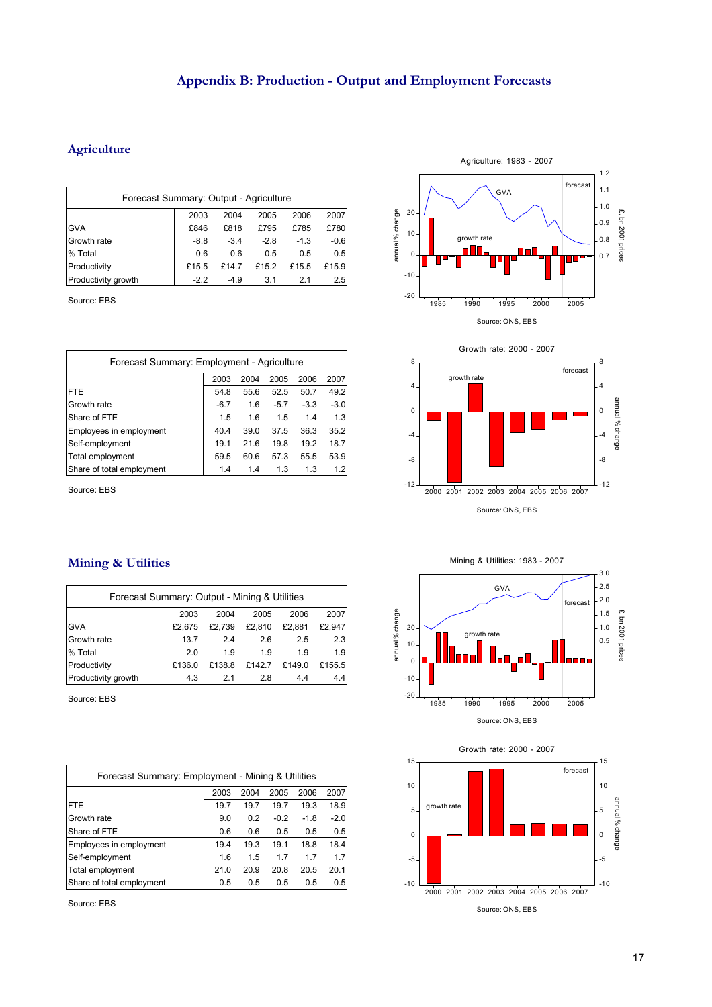## **Appendix B: Production - Output and Employment Forecasts**

#### **Agriculture**

| Forecast Summary: Output - Agriculture |        |        |        |        |        |  |  |  |
|----------------------------------------|--------|--------|--------|--------|--------|--|--|--|
| 2007<br>2003<br>2004<br>2005<br>2006   |        |        |        |        |        |  |  |  |
| <b>GVA</b>                             | £846   | £818   | £795   | £785   | £780   |  |  |  |
| Growth rate                            | $-8.8$ | $-3.4$ | $-2.8$ | $-1.3$ | $-0.6$ |  |  |  |
| % Total                                | 0.6    | 0.6    | 0.5    | 0.5    | 0.5    |  |  |  |
| Productivity                           | £15.5  | £14.7  | £15.2  | £15.5  | £15.9  |  |  |  |
| Productivity growth                    | $-2.2$ | $-4.9$ | 3.1    | 2.1    | 2.5    |  |  |  |

Source: EBS

| Forecast Summary: Employment - Agriculture |        |      |        |        |        |  |  |
|--------------------------------------------|--------|------|--------|--------|--------|--|--|
| 2007<br>2003<br>2004<br>2006<br>2005       |        |      |        |        |        |  |  |
| <b>FTE</b>                                 | 54.8   | 55.6 | 52.5   | 50.7   | 49.2   |  |  |
| Growth rate                                | $-6.7$ | 1.6  | $-5.7$ | $-3.3$ | $-3.0$ |  |  |
| Share of FTE                               | 1.5    | 1.6  | 1.5    | 1.4    | 1.3    |  |  |
| Employees in employment                    | 40.4   | 39.0 | 37.5   | 36.3   | 35.2   |  |  |
| Self-employment                            | 19.1   | 21.6 | 19.8   | 19.2   | 18.7   |  |  |
| Total employment                           | 59.5   | 60.6 | 57.3   | 55.5   | 53.9   |  |  |
| Share of total employment                  | 1.4    | 1.4  | 1.3    | 1.3    | 1.2    |  |  |

Source: EBS







| Forecast Summary: Output - Mining & Utilities |        |        |        |        |        |  |  |  |
|-----------------------------------------------|--------|--------|--------|--------|--------|--|--|--|
|                                               | 2003   | 2004   | 2005   | 2006   | 2007   |  |  |  |
| <b>GVA</b>                                    | £2.675 | £2.739 | £2,810 | £2.881 | £2.947 |  |  |  |
| Growth rate                                   | 13.7   | 2.4    | 2.6    | 2.5    | 2.3    |  |  |  |
| % Total                                       | 2.0    | 1.9    | 1.9    | 1.9    | 1.9    |  |  |  |
| Productivity                                  | £136.0 | £138.8 | £142.7 | £149.0 | £155.5 |  |  |  |
| Productivity growth                           | 4.3    | 2.1    | 2.8    | 4.4    | 4.4    |  |  |  |

Source: EBS

| Forecast Summary: Employment - Mining & Utilities |                                      |      |        |        |        |  |  |  |
|---------------------------------------------------|--------------------------------------|------|--------|--------|--------|--|--|--|
|                                                   | 2007<br>2003<br>2004<br>2005<br>2006 |      |        |        |        |  |  |  |
| <b>FTE</b>                                        | 19.7                                 | 19.7 | 19.7   | 19.3   | 18.9   |  |  |  |
| Growth rate                                       | 9.0                                  | 0.2  | $-0.2$ | $-1.8$ | $-2.0$ |  |  |  |
| Share of FTE                                      | 0.6                                  | 0.6  | 0.5    | 0.5    | 0.5    |  |  |  |
| Employees in employment                           | 19.4                                 | 19.3 | 19.1   | 18.8   | 18.4   |  |  |  |
| Self-employment                                   | 1.6                                  | 1.5  | 1.7    | 1.7    | 1.7    |  |  |  |
| Total employment                                  | 21.0                                 | 20.9 | 20.8   | 20.5   | 20.1   |  |  |  |
| Share of total employment                         | 0.5                                  | 0.5  | 0.5    | 0.5    | 0.5    |  |  |  |

Source: EBS



3.0



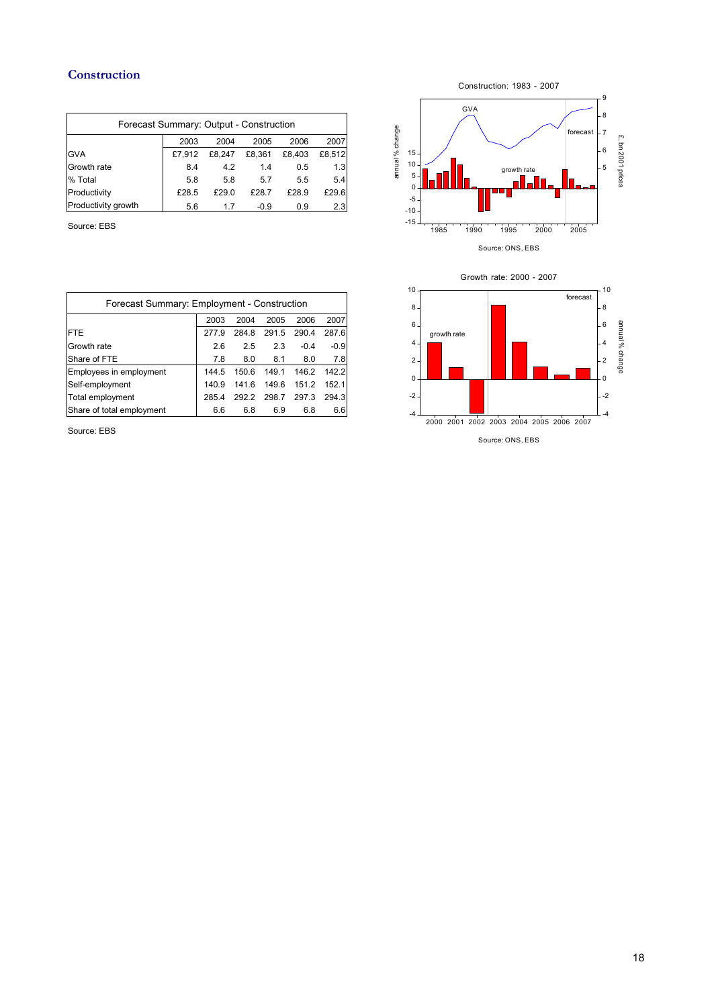#### **Construction**

| Forecast Summary: Output - Construction |        |        |        |        |        |  |  |  |
|-----------------------------------------|--------|--------|--------|--------|--------|--|--|--|
| 2007<br>2006<br>2003<br>2004<br>2005    |        |        |        |        |        |  |  |  |
| <b>GVA</b>                              | £7.912 | £8.247 | £8.361 | £8.403 | £8.512 |  |  |  |
| Growth rate                             | 8.4    | 4.2    | 1.4    | 0.5    | 1.3    |  |  |  |
| % Total                                 | 5.8    | 5.8    | 5.7    | 5.5    | 5.4    |  |  |  |
| Productivity                            | £28.5  | £29.0  | £28.7  | £28.9  | £29.6  |  |  |  |
| Productivity growth                     | 5.6    | 17     | $-0.9$ | 0.9    | 2.3    |  |  |  |

Source: EBS



| Forecast Summary: Employment - Construction |       |       |       |        |        |  |  |  |
|---------------------------------------------|-------|-------|-------|--------|--------|--|--|--|
| 2007<br>2004<br>2003<br>2005<br>2006        |       |       |       |        |        |  |  |  |
| <b>FTE</b>                                  | 2779  | 284.8 | 291.5 | 290.4  | 287.6  |  |  |  |
| Growth rate                                 | 2.6   | 2.5   | 2.3   | $-0.4$ | $-0.9$ |  |  |  |
| Share of FTE                                | 7.8   | 8.0   | 8.1   | 8.0    | 7.8    |  |  |  |
| Employees in employment                     | 144.5 | 150.6 | 149.1 | 146.2  | 142.2  |  |  |  |
| Self-employment                             | 140.9 | 1416  | 149.6 | 151.2  | 152 1  |  |  |  |
| Total employment                            | 285.4 | 292.2 | 298.7 | 297.3  | 294.3  |  |  |  |
| Share of total employment                   | 6.6   | 6.8   | 6.9   | 6.8    | 6.6    |  |  |  |

Source: EBS

Growth rate: 2000 - 2007



Source: ONS, EBS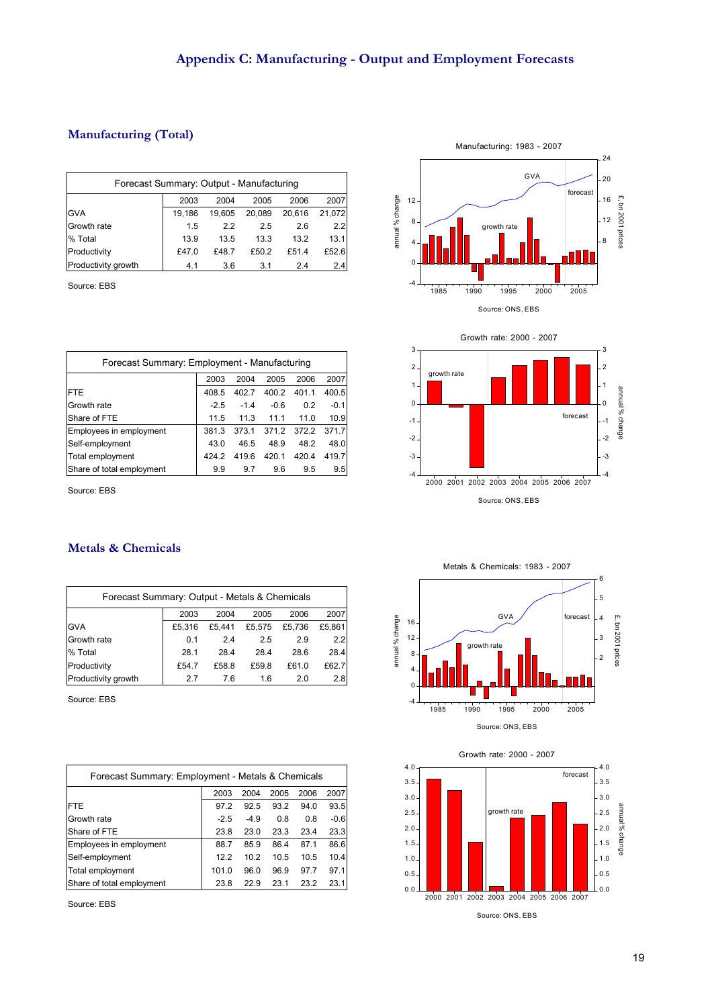annual % change

annual % change

### **Manufacturing (Total)**

| Forecast Summary: Output - Manufacturing |                                      |        |        |        |        |  |  |  |  |
|------------------------------------------|--------------------------------------|--------|--------|--------|--------|--|--|--|--|
|                                          | 2007<br>2003<br>2006<br>2004<br>2005 |        |        |        |        |  |  |  |  |
| <b>GVA</b>                               | 19.186                               | 19.605 | 20.089 | 20.616 | 21,072 |  |  |  |  |
| Growth rate                              | 1.5                                  | 2.2    | 2.5    | 2.6    | 2.2    |  |  |  |  |
| % Total                                  | 13.9                                 | 13.5   | 13.3   | 13.2   | 13.1   |  |  |  |  |
| Productivity                             | £47.0                                | £48.7  | £50.2  | £51.4  | £52.6  |  |  |  |  |
| Productivity growth                      | 4.1                                  | 3.6    | 3.1    | 2.4    | 2.4    |  |  |  |  |

Source: EBS

| Forecast Summary: Employment - Manufacturing |        |        |        |                   |        |  |  |  |
|----------------------------------------------|--------|--------|--------|-------------------|--------|--|--|--|
| 2007<br>2003<br>2004<br>2005<br>2006         |        |        |        |                   |        |  |  |  |
| <b>FTE</b>                                   | 408.5  | 402.7  | 400.2  | 401.1             | 400.5  |  |  |  |
| Growth rate                                  | $-2.5$ | $-1.4$ | $-0.6$ | 0.2               | $-0.1$ |  |  |  |
| Share of FTE                                 | 11.5   | 11.3   | 11.1   | 11.0              | 10.9   |  |  |  |
| Employees in employment                      | 381.3  | 373.1  |        | 371.2 372.2 371.7 |        |  |  |  |
| Self-employment                              | 43.0   | 46.5   | 48.9   | 48.2              | 48.0   |  |  |  |
| Total employment                             | 424.2  | 419.6  | 420.1  | 420.4             | 419.7  |  |  |  |
| Share of total employment                    | 9.9    | 9.7    | 9.6    | 9.5               | 9.5    |  |  |  |

Source: EBS

#### Manufacturing: 1983 - 2007 24 GVA 20 forecast £, bn 2001 prices 12 16 £, bn 2001 prices 12 8 growth rate 8 4 0 -4 1985 1990 1995 2000 2005 Source: ONS, EBS



#### **Metals & Chemicals**

| Forecast Summary: Output - Metals & Chemicals |        |        |        |        |        |  |  |  |
|-----------------------------------------------|--------|--------|--------|--------|--------|--|--|--|
|                                               | 2003   | 2004   | 2005   | 2006   | 2007   |  |  |  |
| <b>GVA</b>                                    | £5.316 | £5.441 | £5.575 | £5.736 | £5.861 |  |  |  |
| Growth rate                                   | 0.1    | 2.4    | 2.5    | 2.9    | 2.2    |  |  |  |
| % Total                                       | 28.1   | 28.4   | 28.4   | 28.6   | 28.4   |  |  |  |
| Productivity                                  | £54.7  | £58.8  | £59.8  | £61.0  | £62.7  |  |  |  |
| Productivity growth                           | 27     | 7.6    | 1.6    | 2.0    | 2.8    |  |  |  |

Source: EBS

| Forecast Summary: Employment - Metals & Chemicals |        |        |      |      |        |  |  |  |
|---------------------------------------------------|--------|--------|------|------|--------|--|--|--|
|                                                   | 2003   | 2004   | 2005 | 2006 | 2007   |  |  |  |
| <b>FTE</b>                                        | 97.2   | 92.5   | 93.2 | 94.0 | 93.5   |  |  |  |
| Growth rate                                       | $-2.5$ | $-4.9$ | 0.8  | 0.8  | $-0.6$ |  |  |  |
| Share of FTE                                      | 23.8   | 23.0   | 23.3 | 23.4 | 23.3   |  |  |  |
| Employees in employment                           | 88.7   | 85.9   | 86.4 | 87.1 | 86.6   |  |  |  |
| Self-employment                                   | 12.2   | 10.2   | 10.5 | 10.5 | 10.4   |  |  |  |
| Total employment                                  | 101.0  | 96.0   | 96.9 | 97.7 | 97.1   |  |  |  |
| Share of total employment                         | 23.8   | 22.9   | 23.1 | 23.2 | 23.1   |  |  |  |

Source: EBS

Metals & Chemicals: 1983 - 2007



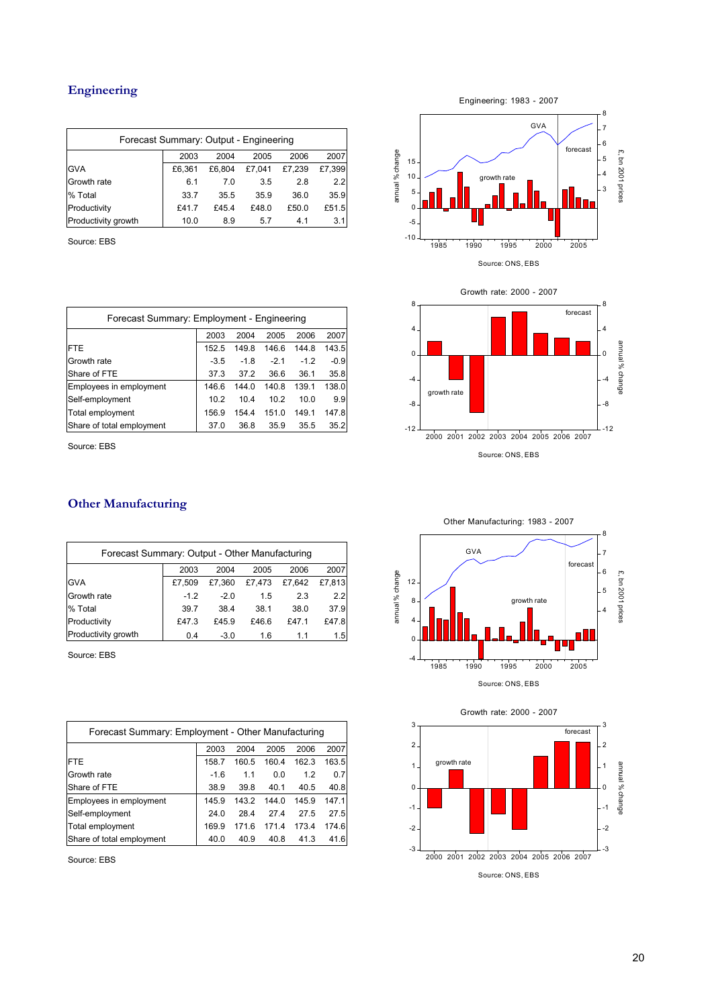### **Engineering**

| Forecast Summary: Output - Engineering |        |        |        |        |        |  |  |  |  |
|----------------------------------------|--------|--------|--------|--------|--------|--|--|--|--|
|                                        | 2003   | 2004   | 2005   | 2006   | 2007   |  |  |  |  |
| <b>GVA</b>                             | £6.361 | £6.804 | £7.041 | £7.239 | £7,399 |  |  |  |  |
| Growth rate                            | 6.1    | 7.0    | 3.5    | 2.8    | 2.2    |  |  |  |  |
| % Total                                | 33.7   | 35.5   | 35.9   | 36.0   | 35.9   |  |  |  |  |
| Productivity                           | £41.7  | £45.4  | £48.0  | £50.0  | £51.5  |  |  |  |  |
| Productivity growth                    | 10.0   | 8.9    | 5.7    | 4.1    | 3.1    |  |  |  |  |

Source: EBS

| Forecast Summary: Employment - Engineering |        |        |        |        |  |  |  |  |  |
|--------------------------------------------|--------|--------|--------|--------|--|--|--|--|--|
| 2007<br>2003<br>2004<br>2005<br>2006       |        |        |        |        |  |  |  |  |  |
| 152.5                                      | 149.8  | 146.6  | 144.8  | 143.5  |  |  |  |  |  |
| $-3.5$                                     | $-1.8$ | $-2.1$ | $-1.2$ | $-0.9$ |  |  |  |  |  |
| 37.3                                       | 37.2   | 36.6   | 36.1   | 35.8   |  |  |  |  |  |
| 146.6                                      | 144.0  | 140.8  | 139.1  | 138.0  |  |  |  |  |  |
| 10.2                                       | 10.4   | 10.2   | 10.0   | 9.9    |  |  |  |  |  |
| 156.9                                      | 154.4  | 151.0  | 149.1  | 147.8  |  |  |  |  |  |
| 37.0                                       | 36.8   | 35.9   | 35.5   | 35.2   |  |  |  |  |  |
|                                            |        |        |        |        |  |  |  |  |  |

Source: EBS

#### **Other Manufacturing**

| Forecast Summary: Output - Other Manufacturing |        |        |        |        |        |  |  |  |
|------------------------------------------------|--------|--------|--------|--------|--------|--|--|--|
|                                                | 2003   | 2004   | 2005   | 2006   | 2007   |  |  |  |
| <b>GVA</b>                                     | £7.509 | £7.360 | £7.473 | £7.642 | £7.813 |  |  |  |
| Growth rate                                    | $-1.2$ | $-2.0$ | 1.5    | 2.3    | 2.2    |  |  |  |
| % Total                                        | 39.7   | 38.4   | 38.1   | 38.0   | 37.9   |  |  |  |
| Productivity                                   | £47.3  | £45.9  | £46.6  | £47.1  | £47.8  |  |  |  |
| Productivity growth                            | 0.4    | $-3.0$ | 1.6    | 1.1    | 1.5    |  |  |  |

Source: EBS

| Forecast Summary: Employment - Other Manufacturing |                                      |       |       |       |       |  |  |  |  |
|----------------------------------------------------|--------------------------------------|-------|-------|-------|-------|--|--|--|--|
|                                                    | 2007<br>2003<br>2004<br>2005<br>2006 |       |       |       |       |  |  |  |  |
| <b>FTE</b>                                         | 158.7                                | 160.5 | 160.4 | 162.3 | 163.5 |  |  |  |  |
| Growth rate                                        | $-1.6$                               | 1.1   | 0.0   | 1.2   | 0.7   |  |  |  |  |
| Share of FTE                                       | 38.9                                 | 39.8  | 40.1  | 40.5  | 40.8  |  |  |  |  |
| Employees in employment                            | 145.9                                | 143.2 | 144.0 | 145.9 | 147.1 |  |  |  |  |
| Self-employment                                    | 24.0                                 | 28.4  | 274   | 27.5  | 27.5  |  |  |  |  |
| Total employment                                   | 169.9                                | 1716  | 171.4 | 173.4 | 174.6 |  |  |  |  |
| Share of total employment                          | 40.0                                 | 40.9  | 40.8  | 41.3  | 41.6  |  |  |  |  |

Source: EBS







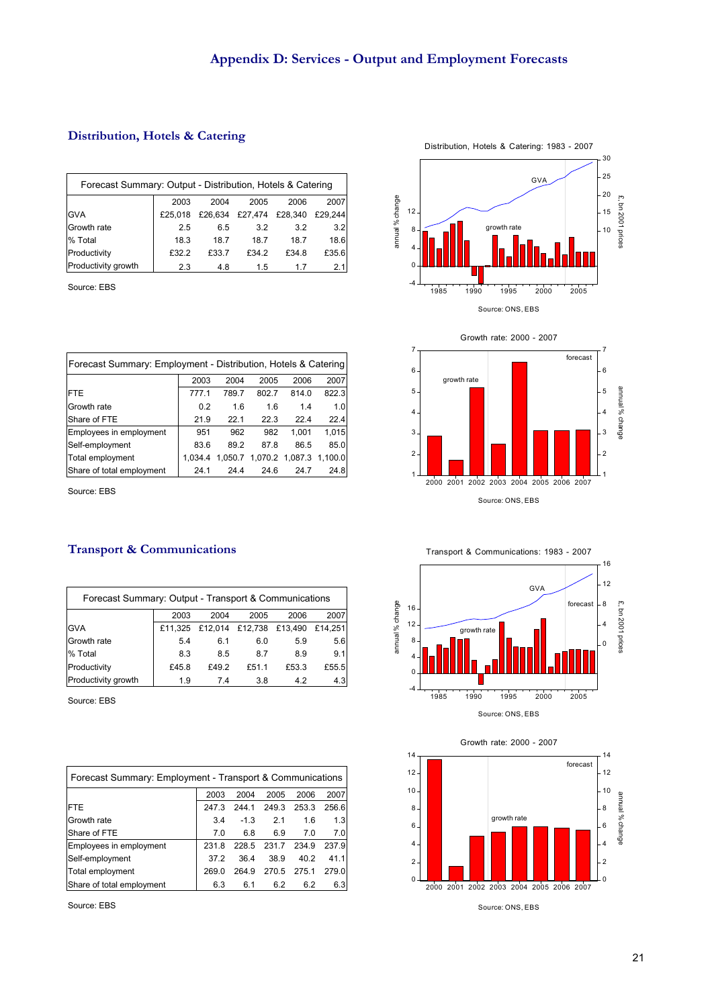#### **Distribution, Hotels & Catering**

| Forecast Summary: Output - Distribution, Hotels & Catering |         |         |       |                 |         |  |  |  |
|------------------------------------------------------------|---------|---------|-------|-----------------|---------|--|--|--|
|                                                            | 2003    | 2004    | 2005  | 2006            | 2007    |  |  |  |
| <b>GVA</b>                                                 | £25.018 | £26,634 |       | £27,474 £28,340 | £29.244 |  |  |  |
| Growth rate                                                | 2.5     | 6.5     | 3.2   | 3.2             | 3.2     |  |  |  |
| % Total                                                    | 18.3    | 18.7    | 18.7  | 18.7            | 18.6    |  |  |  |
| Productivity                                               | £32.2   | £33.7   | £34.2 | £34.8           | £35.6   |  |  |  |
| Productivity growth                                        | 2.3     | 4.8     | 1.5   | 17              | 2.1     |  |  |  |

Source: EBS

| Forecast Summary: Employment - Distribution, Hotels & Catering |         |         |       |                         |       |  |  |  |
|----------------------------------------------------------------|---------|---------|-------|-------------------------|-------|--|--|--|
|                                                                | 2003    | 2004    | 2005  | 2006                    | 2007  |  |  |  |
| <b>FTE</b>                                                     | 777.1   | 789.7   | 802.7 | 814.0                   | 822.3 |  |  |  |
| Growth rate                                                    | 0.2     | 1.6     | 1.6   | 1.4                     | 1.0   |  |  |  |
| Share of FTE                                                   | 21.9    | 22.1    | 22.3  | 22.4                    | 22.4  |  |  |  |
| Employees in employment                                        | 951     | 962     | 982   | 1.001                   | 1,015 |  |  |  |
| Self-employment                                                | 83.6    | 89.2    | 87.8  | 86.5                    | 85.0  |  |  |  |
| Total employment                                               | 1.034.4 | 1.050.7 |       | 1,070.2 1,087.3 1,100.0 |       |  |  |  |
| Share of total employment                                      | 24.1    | 24.4    | 24.6  | 24.7                    | 24.8  |  |  |  |

Source: EBS

#### **Transport & Communications**

| Forecast Summary: Output - Transport & Communications |       |                                 |       |       |         |  |  |  |
|-------------------------------------------------------|-------|---------------------------------|-------|-------|---------|--|--|--|
|                                                       | 2003  | 2004                            | 2005  | 2006  | 2007    |  |  |  |
| <b>GVA</b>                                            |       | £11,325 £12,014 £12,738 £13,490 |       |       | £14.251 |  |  |  |
| Growth rate                                           | 5.4   | 6.1                             | 6.0   | 5.9   | 5.6     |  |  |  |
| % Total                                               | 8.3   | 8.5                             | 8.7   | 8.9   | 9.1     |  |  |  |
| Productivity                                          | £45.8 | £49.2                           | £51.1 | £53.3 | £55.5   |  |  |  |
| Productivity growth                                   | 1.9   | 7.4                             | 3.8   | 4.2   | 4.3     |  |  |  |

Source: EBS

| Forecast Summary: Employment - Transport & Communications |                                      |        |       |       |       |  |  |  |  |
|-----------------------------------------------------------|--------------------------------------|--------|-------|-------|-------|--|--|--|--|
|                                                           | 2005<br>2003<br>2004<br>2006<br>2007 |        |       |       |       |  |  |  |  |
| <b>FTE</b>                                                | 247.3                                | 244.1  | 249.3 | 253.3 | 256.6 |  |  |  |  |
| Growth rate                                               | 3.4                                  | $-1.3$ | 2.1   | 1.6   | 1.3   |  |  |  |  |
| Share of FTE                                              | 7.0                                  | 6.8    | 6.9   | 7.0   | 7.0   |  |  |  |  |
| Employees in employment                                   | 231.8                                | 228.5  | 231.7 | 234.9 | 237.9 |  |  |  |  |
| Self-employment                                           | 37.2                                 | 36.4   | 38.9  | 40.2  | 411   |  |  |  |  |
| Total employment                                          | 269 O                                | 264.9  | 270.5 | 275.1 | 279.0 |  |  |  |  |
| Share of total employment                                 | 6.3                                  | 6.1    | 6.2   | 6.2   | 6.3   |  |  |  |  |

Source: EBS









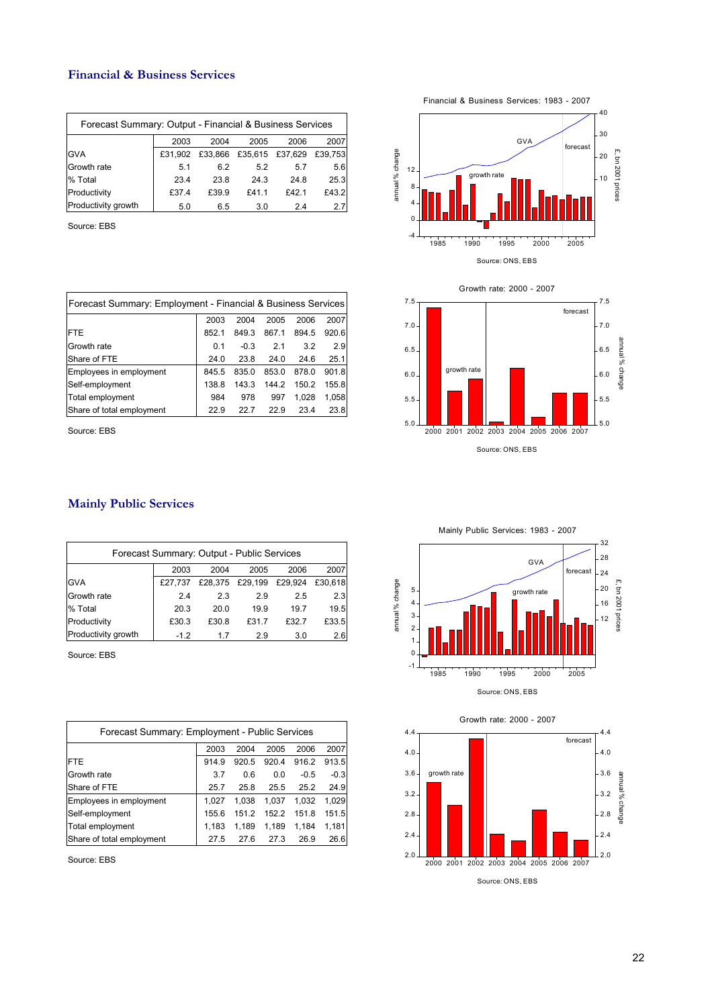#### **Financial & Business Services**

| Forecast Summary: Output - Financial & Business Services |         |         |       |                 |         |  |  |  |
|----------------------------------------------------------|---------|---------|-------|-----------------|---------|--|--|--|
|                                                          | 2003    | 2004    | 2005  | 2006            | 2007    |  |  |  |
| <b>GVA</b>                                               | £31.902 | £33,866 |       | £35,615 £37,629 | £39.753 |  |  |  |
| Growth rate                                              | 5.1     | 6.2     | 5.2   | 5.7             | 5.6     |  |  |  |
| % Total                                                  | 23.4    | 23.8    | 24.3  | 24.8            | 25.3    |  |  |  |
| Productivity                                             | £37.4   | £39.9   | £41.1 | £42.1           | £43.2   |  |  |  |
| Productivity growth                                      | 5.0     | 6.5     | 3.0   | 24              | 27      |  |  |  |

Source: EBS

| Forecast Summary: Employment - Financial & Business Services |       |        |       |       |       |  |  |  |  |
|--------------------------------------------------------------|-------|--------|-------|-------|-------|--|--|--|--|
|                                                              | 2003  | 2004   | 2005  | 2006  | 2007  |  |  |  |  |
| <b>FTE</b>                                                   | 852.1 | 849.3  | 867.1 | 894.5 | 920.6 |  |  |  |  |
| Growth rate                                                  | 0.1   | $-0.3$ | 21    | 3.2   | 2.9   |  |  |  |  |
| Share of FTE                                                 | 24.0  | 23.8   | 24.0  | 24.6  | 25.1  |  |  |  |  |
| Employees in employment                                      | 845.5 | 835.0  | 853.0 | 878.0 | 901.8 |  |  |  |  |
| Self-employment                                              | 138.8 | 143.3  | 144.2 | 150.2 | 155.8 |  |  |  |  |
| Total employment                                             | 984   | 978    | 997   | 1.028 | 1,058 |  |  |  |  |
| Share of total employment                                    | 22.9  | 22.7   | 22.9  | 23.4  | 23.8  |  |  |  |  |

Source: EBS

#### **Mainly Public Services**

| Forecast Summary: Output - Public Services |         |       |                         |       |         |  |  |  |  |
|--------------------------------------------|---------|-------|-------------------------|-------|---------|--|--|--|--|
|                                            | 2003    | 2004  | 2005                    | 2006  | 2007    |  |  |  |  |
| <b>GVA</b>                                 | £27.737 |       | £28,375 £29,199 £29,924 |       | £30.618 |  |  |  |  |
| Growth rate                                | 2.4     | 2.3   | 2.9                     | 2.5   | 2.3     |  |  |  |  |
| % Total                                    | 20.3    | 20.0  | 19.9                    | 19.7  | 19.5    |  |  |  |  |
| Productivity                               | £30.3   | £30.8 | £31.7                   | £32.7 | £33.5   |  |  |  |  |
| Productivity growth                        | $-1.2$  | 17    | 2.9                     | 3.0   | 2.6     |  |  |  |  |

Source: EBS

| Forecast Summary: Employment - Public Services |       |       |       |        |        |  |  |  |  |
|------------------------------------------------|-------|-------|-------|--------|--------|--|--|--|--|
|                                                | 2003  | 2004  | 2005  | 2006   | 2007   |  |  |  |  |
| <b>FTE</b>                                     | 914.9 | 920.5 | 920.4 | 916.2  | 913.5  |  |  |  |  |
| Growth rate                                    | 3.7   | 0.6   | 0.0   | $-0.5$ | $-0.3$ |  |  |  |  |
| Share of FTE                                   | 25.7  | 25.8  | 25.5  | 25.2   | 24.9   |  |  |  |  |
| Employees in employment                        | 1.027 | 1.038 | 1.037 | 1.032  | 1.029  |  |  |  |  |
| Self-employment                                | 155.6 | 151.2 | 152.2 | 151.8  | 151.5  |  |  |  |  |
| Total employment                               | 1.183 | 1.189 | 1,189 | 1,184  | 1,181  |  |  |  |  |
| Share of total employment                      | 27.5  | 27 R  | 27.3  | 26.9   | 26.6   |  |  |  |  |

Source: EBS

20 30 40 GVA forecas Financial & Business Services: 1983 - 2007

growth rate

 $10^{11}$ 

£, bn 2001 prices

£, bn 2001 prices

annual % change

annual % change



Mainly Public Services: 1983 - 2007 32 28 GVA forecast  $24$ £, bn 2001 prices annual% change annual % change  $20$ £, bn 2001 prices 5 growth rate 16 4 3 12 2 1  $\overline{0}$ -1 1985 1990 1995 2000 2005 Source: ONS, EBS

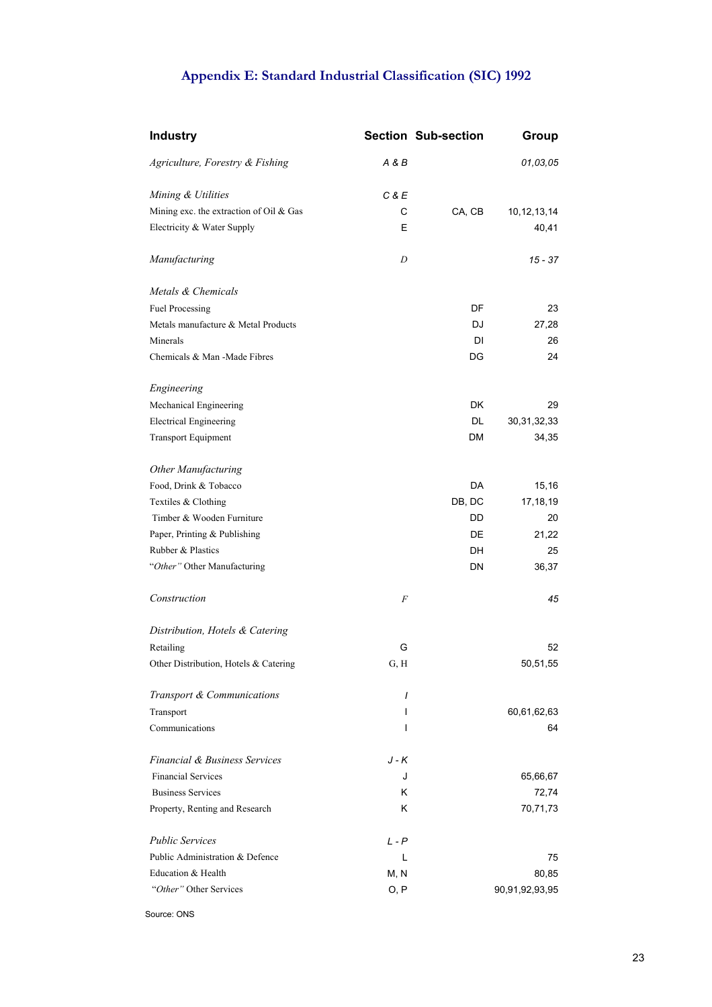# **Appendix E: Standard Industrial Classification (SIC) 1992**

| <b>Industry</b>                         |          | <b>Section Sub-section</b> | Group          |
|-----------------------------------------|----------|----------------------------|----------------|
| Agriculture, Forestry & Fishing         | A & B    |                            | 01,03,05       |
| Mining & Utilities                      | C & E    |                            |                |
| Mining exc. the extraction of Oil & Gas | C        | CA, CB                     | 10, 12, 13, 14 |
| Electricity & Water Supply              | E        |                            | 40,41          |
| Manufacturing                           | D        |                            | 15 - 37        |
| Metals & Chemicals                      |          |                            |                |
| Fuel Processing                         |          | DF                         | 23             |
| Metals manufacture & Metal Products     |          | DJ                         | 27,28          |
| Minerals                                |          | DI                         | 26             |
| Chemicals & Man -Made Fibres            |          | DG                         | 24             |
| Engineering                             |          |                            |                |
| Mechanical Engineering                  |          | DK.                        | 29             |
| <b>Electrical Engineering</b>           |          | DL                         | 30, 31, 32, 33 |
| <b>Transport Equipment</b>              |          | DM                         | 34,35          |
| Other Manufacturing                     |          |                            |                |
| Food, Drink & Tobacco                   |          | DA                         | 15,16          |
| Textiles & Clothing                     |          | DB, DC                     | 17,18,19       |
| Timber & Wooden Furniture               |          | DD                         | 20             |
| Paper, Printing & Publishing            |          | DE                         | 21,22          |
| Rubber & Plastics                       |          | DH                         | 25             |
| "Other" Other Manufacturing             |          | DN                         | 36,37          |
| Construction                            | F        |                            | 45             |
| Distribution, Hotels & Catering         |          |                            |                |
| Retailing                               | G        |                            | 52             |
| Other Distribution, Hotels & Catering   | G, H     |                            | 50,51,55       |
| Transport & Communications              | $\prime$ |                            |                |
| Transport                               | L        |                            | 60,61,62,63    |
| Communications                          | I        |                            | 64             |
| Financial & Business Services           | J - K    |                            |                |
| <b>Financial Services</b>               | J        |                            | 65,66,67       |
| <b>Business Services</b>                | κ        |                            | 72,74          |
| Property, Renting and Research          | κ        |                            | 70,71,73       |
| <b>Public Services</b>                  | $L - P$  |                            |                |
| Public Administration & Defence         | L        |                            | 75             |
| Education & Health                      | M, N     |                            | 80,85          |
| "Other" Other Services                  | O, P     |                            | 90,91,92,93,95 |

Source: ONS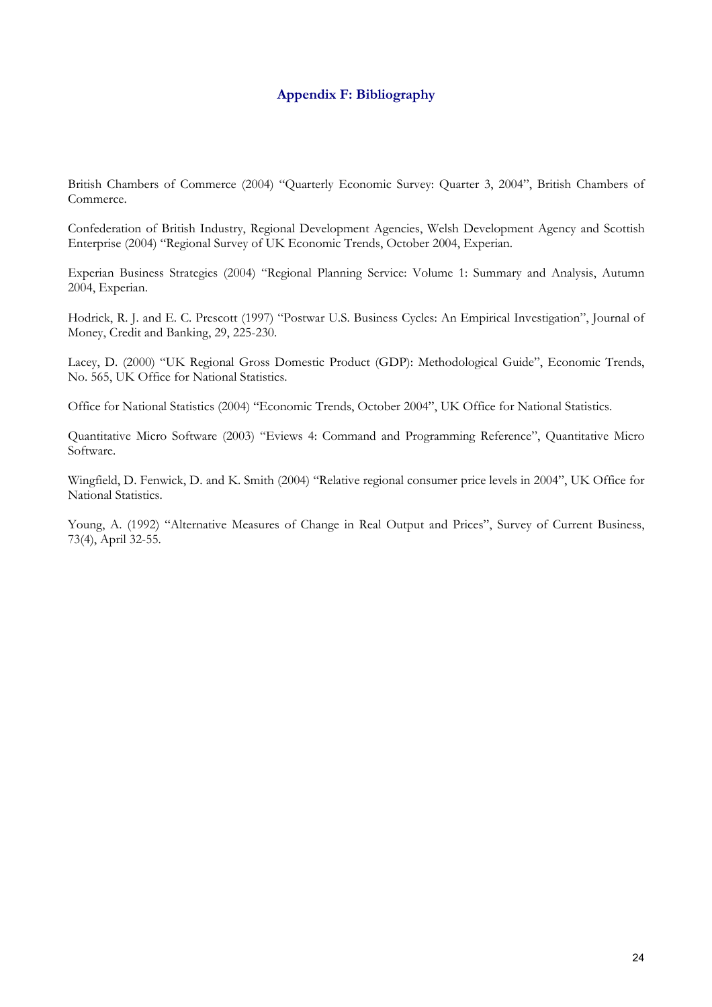### **Appendix F: Bibliography**

British Chambers of Commerce (2004) "Quarterly Economic Survey: Quarter 3, 2004", British Chambers of Commerce.

Confederation of British Industry, Regional Development Agencies, Welsh Development Agency and Scottish Enterprise (2004) "Regional Survey of UK Economic Trends, October 2004, Experian.

Experian Business Strategies (2004) "Regional Planning Service: Volume 1: Summary and Analysis, Autumn 2004, Experian.

Hodrick, R. J. and E. C. Prescott (1997) "Postwar U.S. Business Cycles: An Empirical Investigation", Journal of Money, Credit and Banking, 29, 225-230.

Lacey, D. (2000) "UK Regional Gross Domestic Product (GDP): Methodological Guide", Economic Trends, No. 565, UK Office for National Statistics.

Office for National Statistics (2004) "Economic Trends, October 2004", UK Office for National Statistics.

Quantitative Micro Software (2003) "Eviews 4: Command and Programming Reference", Quantitative Micro Software.

Wingfield, D. Fenwick, D. and K. Smith (2004) "Relative regional consumer price levels in 2004", UK Office for National Statistics.

Young, A. (1992) "Alternative Measures of Change in Real Output and Prices", Survey of Current Business, 73(4), April 32-55.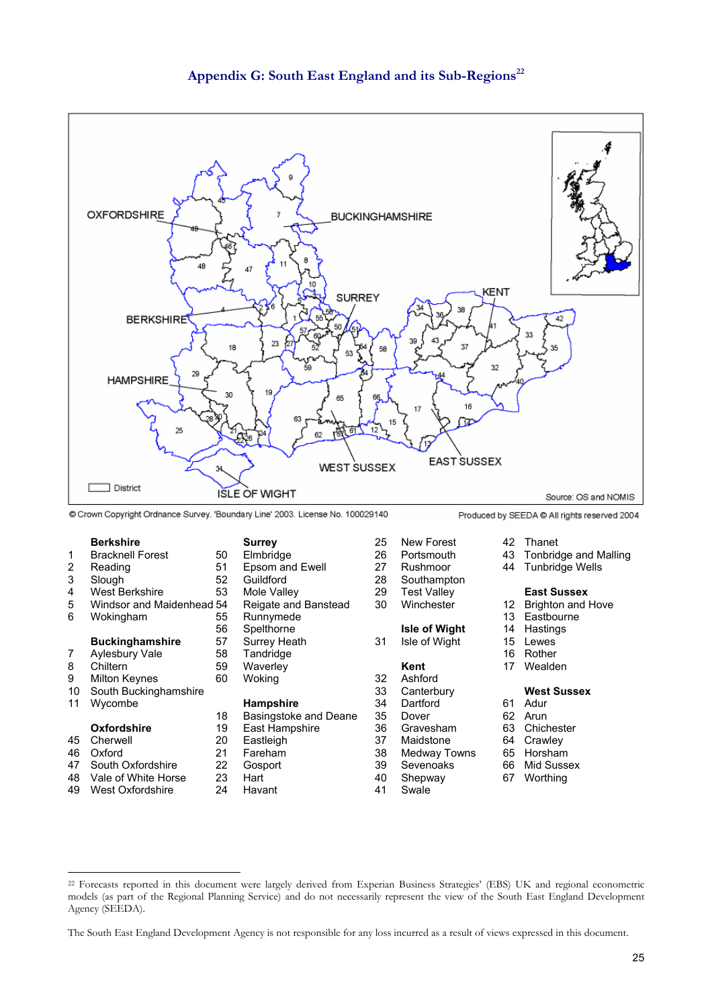



- South Oxfordshire 22 Gosport 39 Sevenoaks 66
- 48 Vale of White Horse 23 Hart 40 Shepway 67 Worthing
- 49 West Oxfordshire 24 Havant 41 Swale

<sup>22</sup> Forecasts reported in this document were largely derived from Experian Business Strategies' (EBS) UK and regional econometric models (as part of the Regional Planning Service) and do not necessarily represent the view of the South East England Development Agency (SEEDA).

The South East England Development Agency is not responsible for any loss incurred as a result of views expressed in this document.